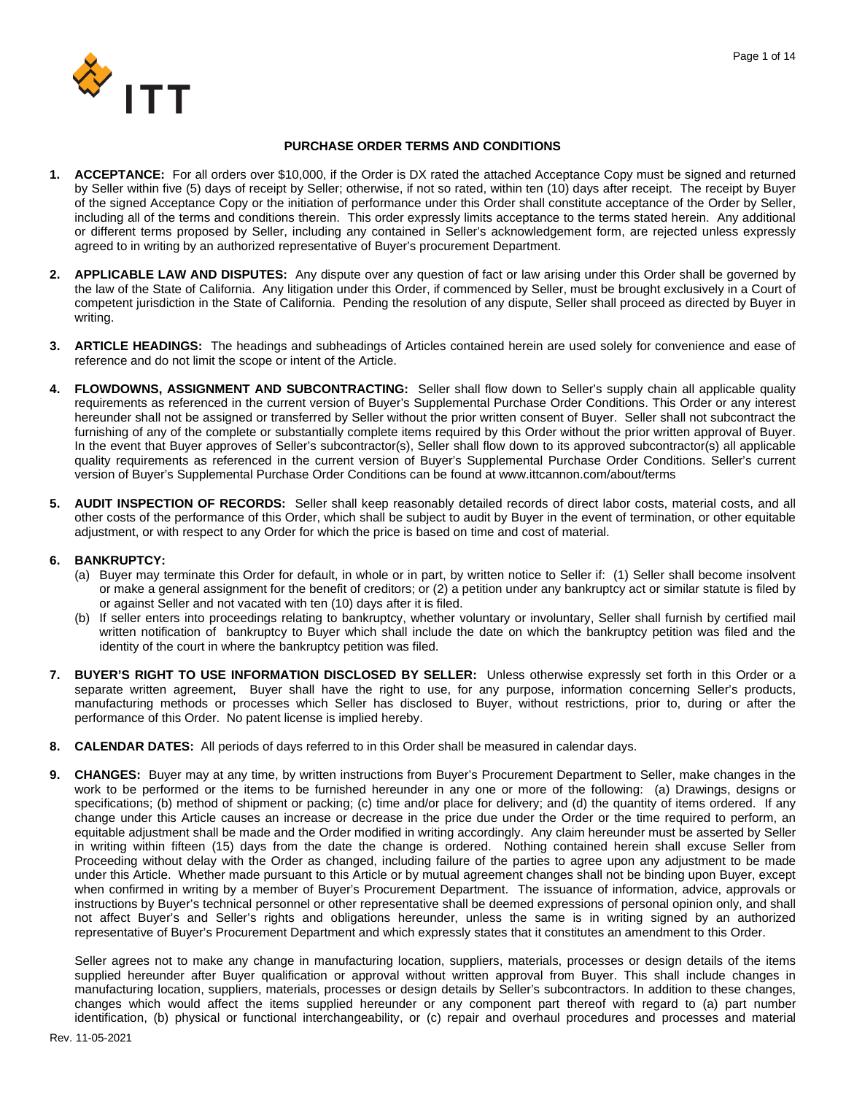

## **PURCHASE ORDER TERMS AND CONDITIONS**

- **1. ACCEPTANCE:** For all orders over \$10,000, if the Order is DX rated the attached Acceptance Copy must be signed and returned by Seller within five (5) days of receipt by Seller; otherwise, if not so rated, within ten (10) days after receipt. The receipt by Buyer of the signed Acceptance Copy or the initiation of performance under this Order shall constitute acceptance of the Order by Seller, including all of the terms and conditions therein. This order expressly limits acceptance to the terms stated herein. Any additional or different terms proposed by Seller, including any contained in Seller's acknowledgement form, are rejected unless expressly agreed to in writing by an authorized representative of Buyer's procurement Department.
- **2. APPLICABLE LAW AND DISPUTES:** Any dispute over any question of fact or law arising under this Order shall be governed by the law of the State of California. Any litigation under this Order, if commenced by Seller, must be brought exclusively in a Court of competent jurisdiction in the State of California. Pending the resolution of any dispute, Seller shall proceed as directed by Buyer in writing.
- **3. ARTICLE HEADINGS:** The headings and subheadings of Articles contained herein are used solely for convenience and ease of reference and do not limit the scope or intent of the Article.
- **4. FLOWDOWNS, ASSIGNMENT AND SUBCONTRACTING:** Seller shall flow down to Seller's supply chain all applicable quality requirements as referenced in the current version of Buyer's Supplemental Purchase Order Conditions. This Order or any interest hereunder shall not be assigned or transferred by Seller without the prior written consent of Buyer. Seller shall not subcontract the furnishing of any of the complete or substantially complete items required by this Order without the prior written approval of Buyer. In the event that Buyer approves of Seller's subcontractor(s), Seller shall flow down to its approved subcontractor(s) all applicable quality requirements as referenced in the current version of Buyer's Supplemental Purchase Order Conditions. Seller's current version of Buyer's Supplemental Purchase Order Conditions can be found at www.ittcannon.com/about/terms
- **5. AUDIT INSPECTION OF RECORDS:** Seller shall keep reasonably detailed records of direct labor costs, material costs, and all other costs of the performance of this Order, which shall be subject to audit by Buyer in the event of termination, or other equitable adjustment, or with respect to any Order for which the price is based on time and cost of material.

## **6. BANKRUPTCY:**

- (a) Buyer may terminate this Order for default, in whole or in part, by written notice to Seller if: (1) Seller shall become insolvent or make a general assignment for the benefit of creditors; or (2) a petition under any bankruptcy act or similar statute is filed by or against Seller and not vacated with ten (10) days after it is filed.
- (b) If seller enters into proceedings relating to bankruptcy, whether voluntary or involuntary, Seller shall furnish by certified mail written notification of bankruptcy to Buyer which shall include the date on which the bankruptcy petition was filed and the identity of the court in where the bankruptcy petition was filed.
- **7. BUYER'S RIGHT TO USE INFORMATION DISCLOSED BY SELLER:** Unless otherwise expressly set forth in this Order or a separate written agreement, Buyer shall have the right to use, for any purpose, information concerning Seller's products, manufacturing methods or processes which Seller has disclosed to Buyer, without restrictions, prior to, during or after the performance of this Order. No patent license is implied hereby.
- **8. CALENDAR DATES:** All periods of days referred to in this Order shall be measured in calendar days.
- **9. CHANGES:** Buyer may at any time, by written instructions from Buyer's Procurement Department to Seller, make changes in the work to be performed or the items to be furnished hereunder in any one or more of the following: (a) Drawings, designs or specifications; (b) method of shipment or packing; (c) time and/or place for delivery; and (d) the quantity of items ordered. If any change under this Article causes an increase or decrease in the price due under the Order or the time required to perform, an equitable adjustment shall be made and the Order modified in writing accordingly. Any claim hereunder must be asserted by Seller in writing within fifteen (15) days from the date the change is ordered. Nothing contained herein shall excuse Seller from Proceeding without delay with the Order as changed, including failure of the parties to agree upon any adjustment to be made under this Article. Whether made pursuant to this Article or by mutual agreement changes shall not be binding upon Buyer, except when confirmed in writing by a member of Buyer's Procurement Department. The issuance of information, advice, approvals or instructions by Buyer's technical personnel or other representative shall be deemed expressions of personal opinion only, and shall not affect Buyer's and Seller's rights and obligations hereunder, unless the same is in writing signed by an authorized representative of Buyer's Procurement Department and which expressly states that it constitutes an amendment to this Order.

Seller agrees not to make any change in manufacturing location, suppliers, materials, processes or design details of the items supplied hereunder after Buyer qualification or approval without written approval from Buyer. This shall include changes in manufacturing location, suppliers, materials, processes or design details by Seller's subcontractors. In addition to these changes, changes which would affect the items supplied hereunder or any component part thereof with regard to (a) part number identification, (b) physical or functional interchangeability, or (c) repair and overhaul procedures and processes and material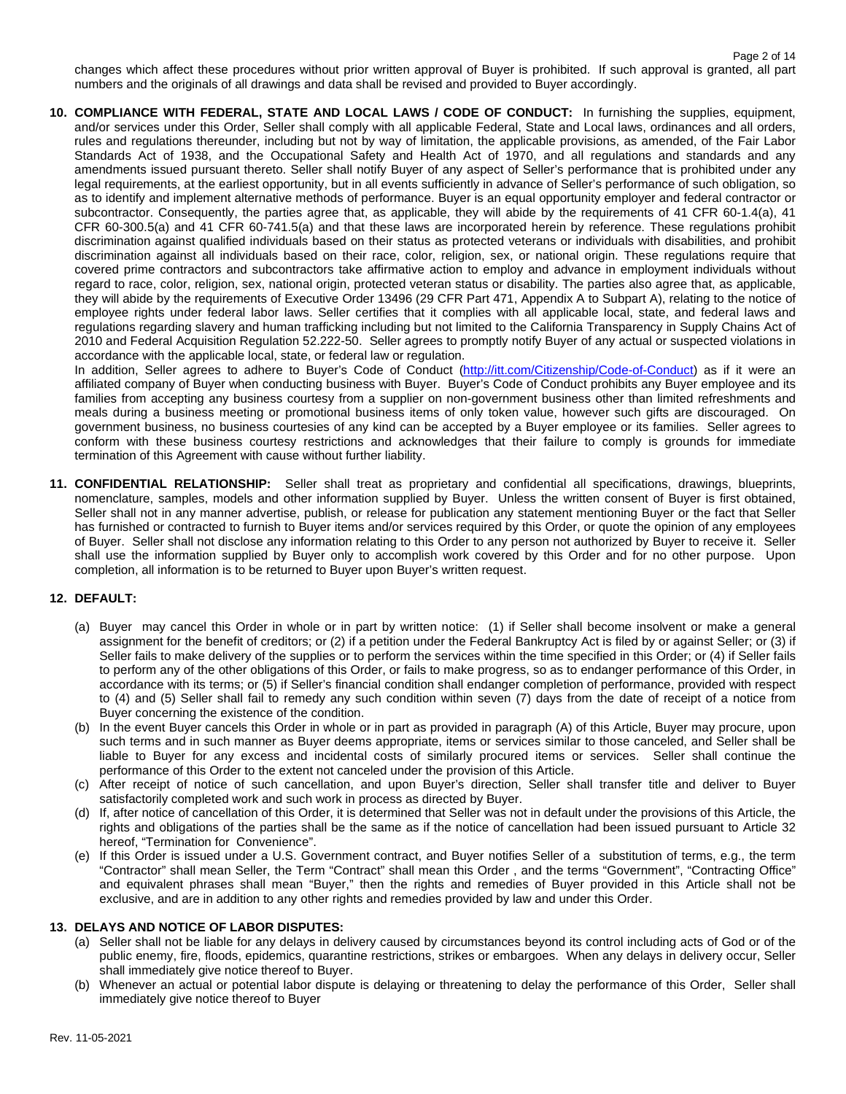changes which affect these procedures without prior written approval of Buyer is prohibited. If such approval is granted, all part numbers and the originals of all drawings and data shall be revised and provided to Buyer accordingly.

**10. COMPLIANCE WITH FEDERAL, STATE AND LOCAL LAWS / CODE OF CONDUCT:** In furnishing the supplies, equipment, and/or services under this Order, Seller shall comply with all applicable Federal, State and Local laws, ordinances and all orders, rules and regulations thereunder, including but not by way of limitation, the applicable provisions, as amended, of the Fair Labor Standards Act of 1938, and the Occupational Safety and Health Act of 1970, and all regulations and standards and any amendments issued pursuant thereto. Seller shall notify Buyer of any aspect of Seller's performance that is prohibited under any legal requirements, at the earliest opportunity, but in all events sufficiently in advance of Seller's performance of such obligation, so as to identify and implement alternative methods of performance. Buyer is an equal opportunity employer and federal contractor or subcontractor. Consequently, the parties agree that, as applicable, they will abide by the requirements of 41 CFR 60-1.4(a), 41 CFR 60-300.5(a) and 41 CFR 60-741.5(a) and that these laws are incorporated herein by reference. These regulations prohibit discrimination against qualified individuals based on their status as protected veterans or individuals with disabilities, and prohibit discrimination against all individuals based on their race, color, religion, sex, or national origin. These regulations require that covered prime contractors and subcontractors take affirmative action to employ and advance in employment individuals without regard to race, color, religion, sex, national origin, protected veteran status or disability. The parties also agree that, as applicable, they will abide by the requirements of Executive Order 13496 (29 CFR Part 471, Appendix A to Subpart A), relating to the notice of employee rights under federal labor laws. Seller certifies that it complies with all applicable local, state, and federal laws and regulations regarding slavery and human trafficking including but not limited to the California Transparency in Supply Chains Act of 2010 and Federal Acquisition Regulation 52.222-50. Seller agrees to promptly notify Buyer of any actual or suspected violations in accordance with the applicable local, state, or federal law or regulation.

In addition, Seller agrees to adhere to Buyer's Code of Conduct [\(http://itt.com/Citizenship/Code-of-Conduct\)](http://itt.com/Citizenship/Code-of-Conduct) as if it were an affiliated company of Buyer when conducting business with Buyer. Buyer's Code of Conduct prohibits any Buyer employee and its families from accepting any business courtesy from a supplier on non-government business other than limited refreshments and meals during a business meeting or promotional business items of only token value, however such gifts are discouraged. On government business, no business courtesies of any kind can be accepted by a Buyer employee or its families. Seller agrees to conform with these business courtesy restrictions and acknowledges that their failure to comply is grounds for immediate termination of this Agreement with cause without further liability.

**11. CONFIDENTIAL RELATIONSHIP:** Seller shall treat as proprietary and confidential all specifications, drawings, blueprints, nomenclature, samples, models and other information supplied by Buyer. Unless the written consent of Buyer is first obtained, Seller shall not in any manner advertise, publish, or release for publication any statement mentioning Buyer or the fact that Seller has furnished or contracted to furnish to Buyer items and/or services required by this Order, or quote the opinion of any employees of Buyer. Seller shall not disclose any information relating to this Order to any person not authorized by Buyer to receive it. Seller shall use the information supplied by Buyer only to accomplish work covered by this Order and for no other purpose. Upon completion, all information is to be returned to Buyer upon Buyer's written request.

# **12. DEFAULT:**

- (a) Buyer may cancel this Order in whole or in part by written notice: (1) if Seller shall become insolvent or make a general assignment for the benefit of creditors; or (2) if a petition under the Federal Bankruptcy Act is filed by or against Seller; or (3) if Seller fails to make delivery of the supplies or to perform the services within the time specified in this Order; or (4) if Seller fails to perform any of the other obligations of this Order, or fails to make progress, so as to endanger performance of this Order, in accordance with its terms; or (5) if Seller's financial condition shall endanger completion of performance, provided with respect to (4) and (5) Seller shall fail to remedy any such condition within seven (7) days from the date of receipt of a notice from Buyer concerning the existence of the condition.
- (b) In the event Buyer cancels this Order in whole or in part as provided in paragraph (A) of this Article, Buyer may procure, upon such terms and in such manner as Buyer deems appropriate, items or services similar to those canceled, and Seller shall be liable to Buyer for any excess and incidental costs of similarly procured items or services. Seller shall continue the performance of this Order to the extent not canceled under the provision of this Article.
- (c) After receipt of notice of such cancellation, and upon Buyer's direction, Seller shall transfer title and deliver to Buyer satisfactorily completed work and such work in process as directed by Buyer.
- (d) If, after notice of cancellation of this Order, it is determined that Seller was not in default under the provisions of this Article, the rights and obligations of the parties shall be the same as if the notice of cancellation had been issued pursuant to Article 32 hereof, "Termination for Convenience".
- (e) If this Order is issued under a U.S. Government contract, and Buyer notifies Seller of a substitution of terms, e.g., the term "Contractor" shall mean Seller, the Term "Contract" shall mean this Order , and the terms "Government", "Contracting Office" and equivalent phrases shall mean "Buyer," then the rights and remedies of Buyer provided in this Article shall not be exclusive, and are in addition to any other rights and remedies provided by law and under this Order.

## **13. DELAYS AND NOTICE OF LABOR DISPUTES:**

- (a) Seller shall not be liable for any delays in delivery caused by circumstances beyond its control including acts of God or of the public enemy, fire, floods, epidemics, quarantine restrictions, strikes or embargoes. When any delays in delivery occur, Seller shall immediately give notice thereof to Buyer.
- (b) Whenever an actual or potential labor dispute is delaying or threatening to delay the performance of this Order, Seller shall immediately give notice thereof to Buyer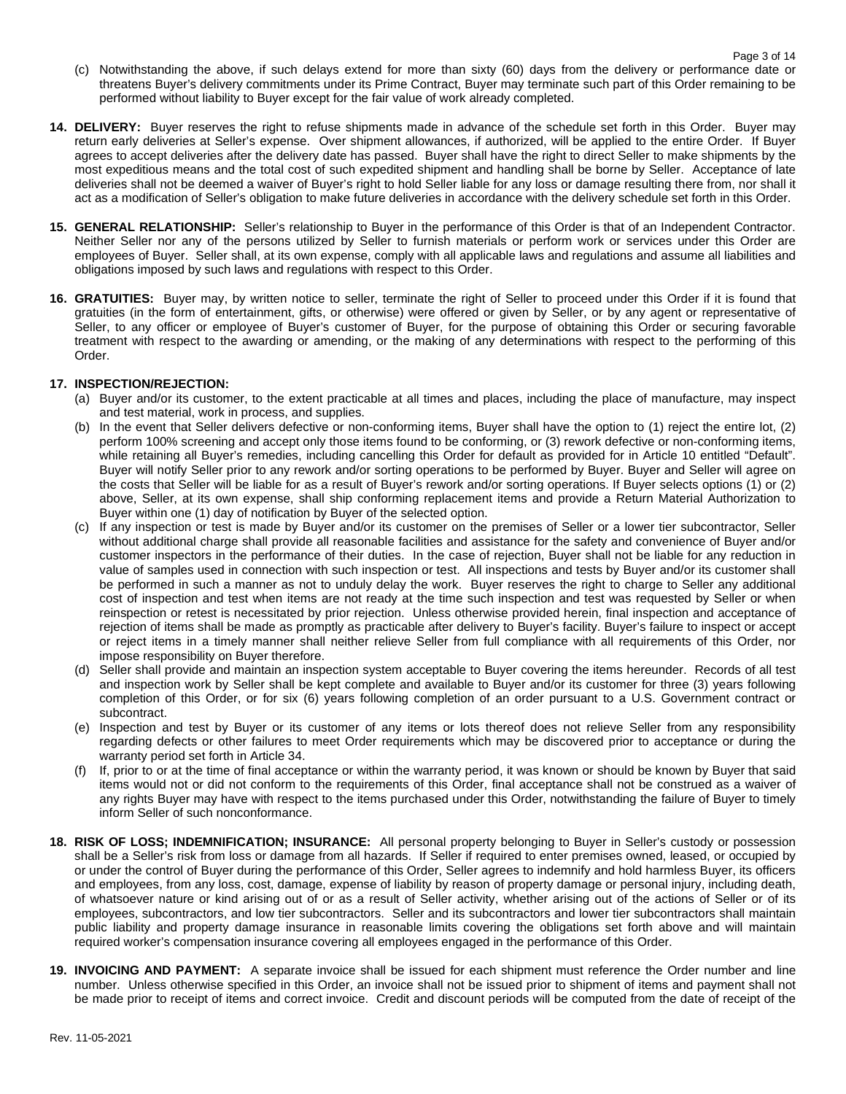- (c) Notwithstanding the above, if such delays extend for more than sixty (60) days from the delivery or performance date or threatens Buyer's delivery commitments under its Prime Contract, Buyer may terminate such part of this Order remaining to be performed without liability to Buyer except for the fair value of work already completed.
- **14. DELIVERY:** Buyer reserves the right to refuse shipments made in advance of the schedule set forth in this Order. Buyer may return early deliveries at Seller's expense. Over shipment allowances, if authorized, will be applied to the entire Order. If Buyer agrees to accept deliveries after the delivery date has passed. Buyer shall have the right to direct Seller to make shipments by the most expeditious means and the total cost of such expedited shipment and handling shall be borne by Seller. Acceptance of late deliveries shall not be deemed a waiver of Buyer's right to hold Seller liable for any loss or damage resulting there from, nor shall it act as a modification of Seller's obligation to make future deliveries in accordance with the delivery schedule set forth in this Order.
- **15. GENERAL RELATIONSHIP:** Seller's relationship to Buyer in the performance of this Order is that of an Independent Contractor. Neither Seller nor any of the persons utilized by Seller to furnish materials or perform work or services under this Order are employees of Buyer. Seller shall, at its own expense, comply with all applicable laws and regulations and assume all liabilities and obligations imposed by such laws and regulations with respect to this Order.
- **16. GRATUITIES:** Buyer may, by written notice to seller, terminate the right of Seller to proceed under this Order if it is found that gratuities (in the form of entertainment, gifts, or otherwise) were offered or given by Seller, or by any agent or representative of Seller, to any officer or employee of Buyer's customer of Buyer, for the purpose of obtaining this Order or securing favorable treatment with respect to the awarding or amending, or the making of any determinations with respect to the performing of this Order.

# **17. INSPECTION/REJECTION:**

- (a) Buyer and/or its customer, to the extent practicable at all times and places, including the place of manufacture, may inspect and test material, work in process, and supplies.
- (b) In the event that Seller delivers defective or non-conforming items, Buyer shall have the option to (1) reject the entire lot, (2) perform 100% screening and accept only those items found to be conforming, or (3) rework defective or non-conforming items, while retaining all Buyer's remedies, including cancelling this Order for default as provided for in Article 10 entitled "Default". Buyer will notify Seller prior to any rework and/or sorting operations to be performed by Buyer. Buyer and Seller will agree on the costs that Seller will be liable for as a result of Buyer's rework and/or sorting operations. If Buyer selects options (1) or (2) above, Seller, at its own expense, shall ship conforming replacement items and provide a Return Material Authorization to Buyer within one (1) day of notification by Buyer of the selected option.
- (c) If any inspection or test is made by Buyer and/or its customer on the premises of Seller or a lower tier subcontractor, Seller without additional charge shall provide all reasonable facilities and assistance for the safety and convenience of Buyer and/or customer inspectors in the performance of their duties. In the case of rejection, Buyer shall not be liable for any reduction in value of samples used in connection with such inspection or test. All inspections and tests by Buyer and/or its customer shall be performed in such a manner as not to unduly delay the work. Buyer reserves the right to charge to Seller any additional cost of inspection and test when items are not ready at the time such inspection and test was requested by Seller or when reinspection or retest is necessitated by prior rejection. Unless otherwise provided herein, final inspection and acceptance of rejection of items shall be made as promptly as practicable after delivery to Buyer's facility. Buyer's failure to inspect or accept or reject items in a timely manner shall neither relieve Seller from full compliance with all requirements of this Order, nor impose responsibility on Buyer therefore.
- (d) Seller shall provide and maintain an inspection system acceptable to Buyer covering the items hereunder. Records of all test and inspection work by Seller shall be kept complete and available to Buyer and/or its customer for three (3) years following completion of this Order, or for six (6) years following completion of an order pursuant to a U.S. Government contract or subcontract.
- (e) Inspection and test by Buyer or its customer of any items or lots thereof does not relieve Seller from any responsibility regarding defects or other failures to meet Order requirements which may be discovered prior to acceptance or during the warranty period set forth in Article 34.
- (f) If, prior to or at the time of final acceptance or within the warranty period, it was known or should be known by Buyer that said items would not or did not conform to the requirements of this Order, final acceptance shall not be construed as a waiver of any rights Buyer may have with respect to the items purchased under this Order, notwithstanding the failure of Buyer to timely inform Seller of such nonconformance.
- **18. RISK OF LOSS; INDEMNIFICATION; INSURANCE:** All personal property belonging to Buyer in Seller's custody or possession shall be a Seller's risk from loss or damage from all hazards. If Seller if required to enter premises owned, leased, or occupied by or under the control of Buyer during the performance of this Order, Seller agrees to indemnify and hold harmless Buyer, its officers and employees, from any loss, cost, damage, expense of liability by reason of property damage or personal injury, including death, of whatsoever nature or kind arising out of or as a result of Seller activity, whether arising out of the actions of Seller or of its employees, subcontractors, and low tier subcontractors. Seller and its subcontractors and lower tier subcontractors shall maintain public liability and property damage insurance in reasonable limits covering the obligations set forth above and will maintain required worker's compensation insurance covering all employees engaged in the performance of this Order.
- **19. INVOICING AND PAYMENT:** A separate invoice shall be issued for each shipment must reference the Order number and line number. Unless otherwise specified in this Order, an invoice shall not be issued prior to shipment of items and payment shall not be made prior to receipt of items and correct invoice. Credit and discount periods will be computed from the date of receipt of the

Rev. 11-05-2021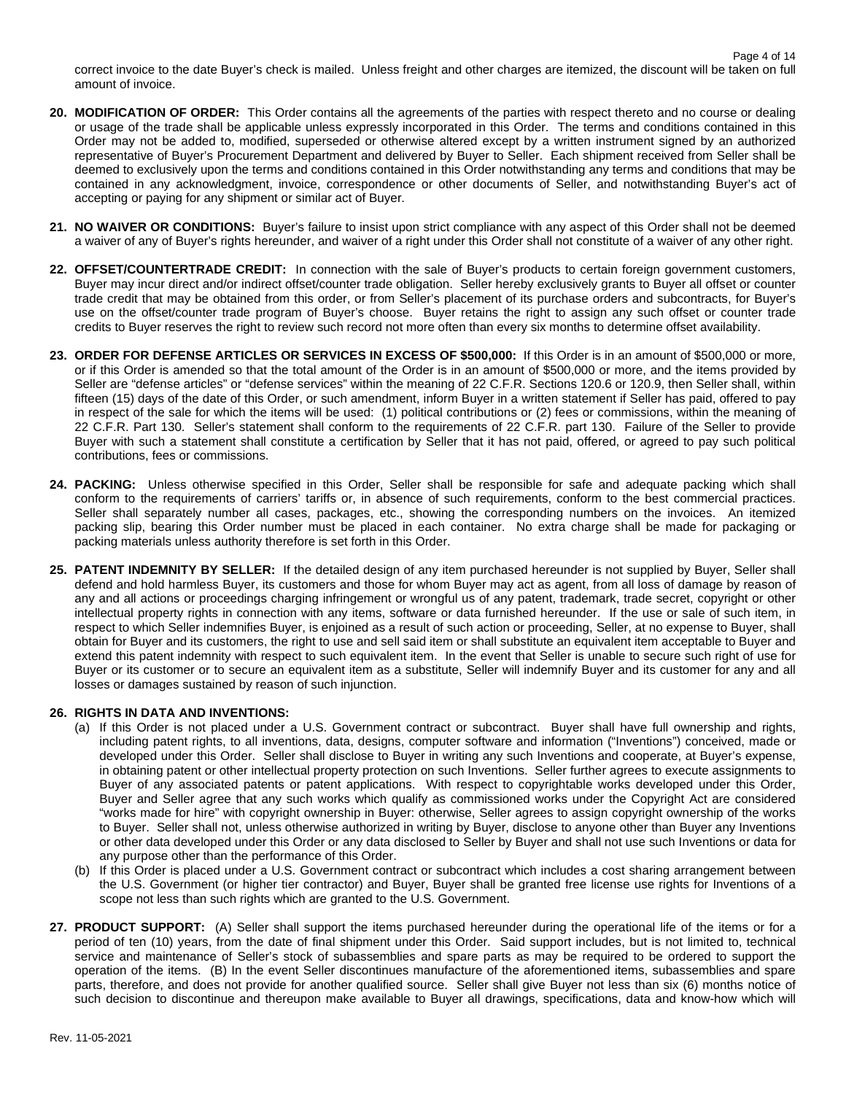- **20. MODIFICATION OF ORDER:** This Order contains all the agreements of the parties with respect thereto and no course or dealing or usage of the trade shall be applicable unless expressly incorporated in this Order. The terms and conditions contained in this Order may not be added to, modified, superseded or otherwise altered except by a written instrument signed by an authorized representative of Buyer's Procurement Department and delivered by Buyer to Seller. Each shipment received from Seller shall be deemed to exclusively upon the terms and conditions contained in this Order notwithstanding any terms and conditions that may be contained in any acknowledgment, invoice, correspondence or other documents of Seller, and notwithstanding Buyer's act of accepting or paying for any shipment or similar act of Buyer.
- **21. NO WAIVER OR CONDITIONS:** Buyer's failure to insist upon strict compliance with any aspect of this Order shall not be deemed a waiver of any of Buyer's rights hereunder, and waiver of a right under this Order shall not constitute of a waiver of any other right.
- **22. OFFSET/COUNTERTRADE CREDIT:** In connection with the sale of Buyer's products to certain foreign government customers, Buyer may incur direct and/or indirect offset/counter trade obligation. Seller hereby exclusively grants to Buyer all offset or counter trade credit that may be obtained from this order, or from Seller's placement of its purchase orders and subcontracts, for Buyer's use on the offset/counter trade program of Buyer's choose. Buyer retains the right to assign any such offset or counter trade credits to Buyer reserves the right to review such record not more often than every six months to determine offset availability.
- **23. ORDER FOR DEFENSE ARTICLES OR SERVICES IN EXCESS OF \$500,000:** If this Order is in an amount of \$500,000 or more, or if this Order is amended so that the total amount of the Order is in an amount of \$500,000 or more, and the items provided by Seller are "defense articles" or "defense services" within the meaning of 22 C.F.R. Sections 120.6 or 120.9, then Seller shall, within fifteen (15) days of the date of this Order, or such amendment, inform Buyer in a written statement if Seller has paid, offered to pay in respect of the sale for which the items will be used: (1) political contributions or (2) fees or commissions, within the meaning of 22 C.F.R. Part 130. Seller's statement shall conform to the requirements of 22 C.F.R. part 130. Failure of the Seller to provide Buyer with such a statement shall constitute a certification by Seller that it has not paid, offered, or agreed to pay such political contributions, fees or commissions.
- **24. PACKING:** Unless otherwise specified in this Order, Seller shall be responsible for safe and adequate packing which shall conform to the requirements of carriers' tariffs or, in absence of such requirements, conform to the best commercial practices. Seller shall separately number all cases, packages, etc., showing the corresponding numbers on the invoices. An itemized packing slip, bearing this Order number must be placed in each container. No extra charge shall be made for packaging or packing materials unless authority therefore is set forth in this Order.
- **25. PATENT INDEMNITY BY SELLER:** If the detailed design of any item purchased hereunder is not supplied by Buyer, Seller shall defend and hold harmless Buyer, its customers and those for whom Buyer may act as agent, from all loss of damage by reason of any and all actions or proceedings charging infringement or wrongful us of any patent, trademark, trade secret, copyright or other intellectual property rights in connection with any items, software or data furnished hereunder. If the use or sale of such item, in respect to which Seller indemnifies Buyer, is enjoined as a result of such action or proceeding, Seller, at no expense to Buyer, shall obtain for Buyer and its customers, the right to use and sell said item or shall substitute an equivalent item acceptable to Buyer and extend this patent indemnity with respect to such equivalent item. In the event that Seller is unable to secure such right of use for Buyer or its customer or to secure an equivalent item as a substitute, Seller will indemnify Buyer and its customer for any and all losses or damages sustained by reason of such injunction.

## **26. RIGHTS IN DATA AND INVENTIONS:**

- (a) If this Order is not placed under a U.S. Government contract or subcontract. Buyer shall have full ownership and rights, including patent rights, to all inventions, data, designs, computer software and information ("Inventions") conceived, made or developed under this Order. Seller shall disclose to Buyer in writing any such Inventions and cooperate, at Buyer's expense, in obtaining patent or other intellectual property protection on such Inventions. Seller further agrees to execute assignments to Buyer of any associated patents or patent applications. With respect to copyrightable works developed under this Order, Buyer and Seller agree that any such works which qualify as commissioned works under the Copyright Act are considered "works made for hire" with copyright ownership in Buyer: otherwise, Seller agrees to assign copyright ownership of the works to Buyer. Seller shall not, unless otherwise authorized in writing by Buyer, disclose to anyone other than Buyer any Inventions or other data developed under this Order or any data disclosed to Seller by Buyer and shall not use such Inventions or data for any purpose other than the performance of this Order.
- (b) If this Order is placed under a U.S. Government contract or subcontract which includes a cost sharing arrangement between the U.S. Government (or higher tier contractor) and Buyer, Buyer shall be granted free license use rights for Inventions of a scope not less than such rights which are granted to the U.S. Government.
- **27. PRODUCT SUPPORT:** (A) Seller shall support the items purchased hereunder during the operational life of the items or for a period of ten (10) years, from the date of final shipment under this Order. Said support includes, but is not limited to, technical service and maintenance of Seller's stock of subassemblies and spare parts as may be required to be ordered to support the operation of the items. (B) In the event Seller discontinues manufacture of the aforementioned items, subassemblies and spare parts, therefore, and does not provide for another qualified source. Seller shall give Buyer not less than six (6) months notice of such decision to discontinue and thereupon make available to Buyer all drawings, specifications, data and know-how which will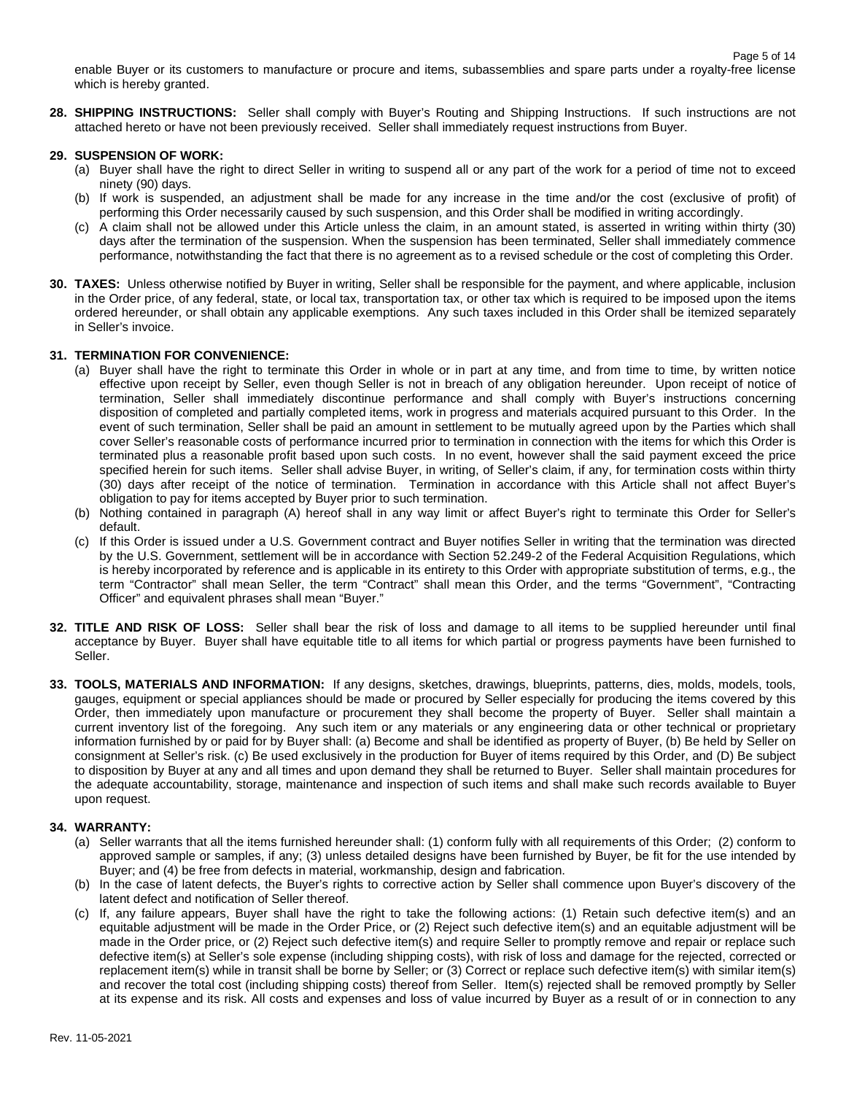enable Buyer or its customers to manufacture or procure and items, subassemblies and spare parts under a royalty-free license which is hereby granted.

**28. SHIPPING INSTRUCTIONS:** Seller shall comply with Buyer's Routing and Shipping Instructions. If such instructions are not attached hereto or have not been previously received. Seller shall immediately request instructions from Buyer.

## **29. SUSPENSION OF WORK:**

- (a) Buyer shall have the right to direct Seller in writing to suspend all or any part of the work for a period of time not to exceed ninety (90) days.
- (b) If work is suspended, an adjustment shall be made for any increase in the time and/or the cost (exclusive of profit) of performing this Order necessarily caused by such suspension, and this Order shall be modified in writing accordingly.
- (c) A claim shall not be allowed under this Article unless the claim, in an amount stated, is asserted in writing within thirty (30) days after the termination of the suspension. When the suspension has been terminated, Seller shall immediately commence performance, notwithstanding the fact that there is no agreement as to a revised schedule or the cost of completing this Order.
- **30. TAXES:** Unless otherwise notified by Buyer in writing, Seller shall be responsible for the payment, and where applicable, inclusion in the Order price, of any federal, state, or local tax, transportation tax, or other tax which is required to be imposed upon the items ordered hereunder, or shall obtain any applicable exemptions. Any such taxes included in this Order shall be itemized separately in Seller's invoice.

## **31. TERMINATION FOR CONVENIENCE:**

- (a) Buyer shall have the right to terminate this Order in whole or in part at any time, and from time to time, by written notice effective upon receipt by Seller, even though Seller is not in breach of any obligation hereunder. Upon receipt of notice of termination, Seller shall immediately discontinue performance and shall comply with Buyer's instructions concerning disposition of completed and partially completed items, work in progress and materials acquired pursuant to this Order. In the event of such termination, Seller shall be paid an amount in settlement to be mutually agreed upon by the Parties which shall cover Seller's reasonable costs of performance incurred prior to termination in connection with the items for which this Order is terminated plus a reasonable profit based upon such costs. In no event, however shall the said payment exceed the price specified herein for such items. Seller shall advise Buyer, in writing, of Seller's claim, if any, for termination costs within thirty (30) days after receipt of the notice of termination. Termination in accordance with this Article shall not affect Buyer's obligation to pay for items accepted by Buyer prior to such termination.
- (b) Nothing contained in paragraph (A) hereof shall in any way limit or affect Buyer's right to terminate this Order for Seller's default.
- (c) If this Order is issued under a U.S. Government contract and Buyer notifies Seller in writing that the termination was directed by the U.S. Government, settlement will be in accordance with Section 52.249-2 of the Federal Acquisition Regulations, which is hereby incorporated by reference and is applicable in its entirety to this Order with appropriate substitution of terms, e.g., the term "Contractor" shall mean Seller, the term "Contract" shall mean this Order, and the terms "Government", "Contracting Officer" and equivalent phrases shall mean "Buyer."
- **32. TITLE AND RISK OF LOSS:** Seller shall bear the risk of loss and damage to all items to be supplied hereunder until final acceptance by Buyer. Buyer shall have equitable title to all items for which partial or progress payments have been furnished to Seller.
- **33. TOOLS, MATERIALS AND INFORMATION:** If any designs, sketches, drawings, blueprints, patterns, dies, molds, models, tools, gauges, equipment or special appliances should be made or procured by Seller especially for producing the items covered by this Order, then immediately upon manufacture or procurement they shall become the property of Buyer. Seller shall maintain a current inventory list of the foregoing. Any such item or any materials or any engineering data or other technical or proprietary information furnished by or paid for by Buyer shall: (a) Become and shall be identified as property of Buyer, (b) Be held by Seller on consignment at Seller's risk. (c) Be used exclusively in the production for Buyer of items required by this Order, and (D) Be subject to disposition by Buyer at any and all times and upon demand they shall be returned to Buyer. Seller shall maintain procedures for the adequate accountability, storage, maintenance and inspection of such items and shall make such records available to Buyer upon request.

## **34. WARRANTY:**

- (a) Seller warrants that all the items furnished hereunder shall: (1) conform fully with all requirements of this Order; (2) conform to approved sample or samples, if any; (3) unless detailed designs have been furnished by Buyer, be fit for the use intended by Buyer; and (4) be free from defects in material, workmanship, design and fabrication.
- (b) In the case of latent defects, the Buyer's rights to corrective action by Seller shall commence upon Buyer's discovery of the latent defect and notification of Seller thereof.
- (c) If, any failure appears, Buyer shall have the right to take the following actions: (1) Retain such defective item(s) and an equitable adjustment will be made in the Order Price, or (2) Reject such defective item(s) and an equitable adjustment will be made in the Order price, or (2) Reject such defective item(s) and require Seller to promptly remove and repair or replace such defective item(s) at Seller's sole expense (including shipping costs), with risk of loss and damage for the rejected, corrected or replacement item(s) while in transit shall be borne by Seller; or (3) Correct or replace such defective item(s) with similar item(s) and recover the total cost (including shipping costs) thereof from Seller. Item(s) rejected shall be removed promptly by Seller at its expense and its risk. All costs and expenses and loss of value incurred by Buyer as a result of or in connection to any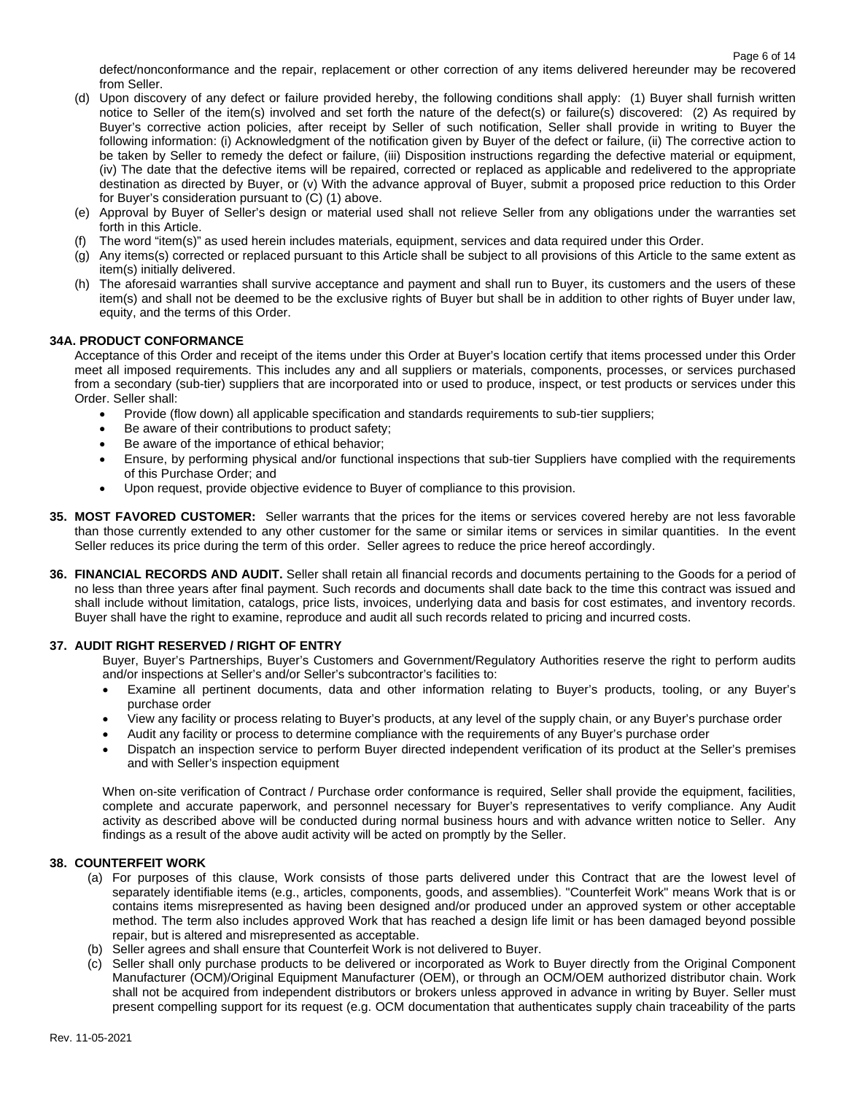defect/nonconformance and the repair, replacement or other correction of any items delivered hereunder may be recovered from Seller.

- (d) Upon discovery of any defect or failure provided hereby, the following conditions shall apply: (1) Buyer shall furnish written notice to Seller of the item(s) involved and set forth the nature of the defect(s) or failure(s) discovered: (2) As required by Buyer's corrective action policies, after receipt by Seller of such notification, Seller shall provide in writing to Buyer the following information: (i) Acknowledgment of the notification given by Buyer of the defect or failure, (ii) The corrective action to be taken by Seller to remedy the defect or failure, (iii) Disposition instructions regarding the defective material or equipment, (iv) The date that the defective items will be repaired, corrected or replaced as applicable and redelivered to the appropriate destination as directed by Buyer, or (v) With the advance approval of Buyer, submit a proposed price reduction to this Order for Buyer's consideration pursuant to (C) (1) above.
- (e) Approval by Buyer of Seller's design or material used shall not relieve Seller from any obligations under the warranties set forth in this Article.
- (f) The word "item(s)" as used herein includes materials, equipment, services and data required under this Order.
- (g) Any items(s) corrected or replaced pursuant to this Article shall be subject to all provisions of this Article to the same extent as item(s) initially delivered.
- (h) The aforesaid warranties shall survive acceptance and payment and shall run to Buyer, its customers and the users of these item(s) and shall not be deemed to be the exclusive rights of Buyer but shall be in addition to other rights of Buyer under law, equity, and the terms of this Order.

## **34A. PRODUCT CONFORMANCE**

Acceptance of this Order and receipt of the items under this Order at Buyer's location certify that items processed under this Order meet all imposed requirements. This includes any and all suppliers or materials, components, processes, or services purchased from a secondary (sub-tier) suppliers that are incorporated into or used to produce, inspect, or test products or services under this Order. Seller shall:

- Provide (flow down) all applicable specification and standards requirements to sub-tier suppliers;
- Be aware of their contributions to product safety;
- Be aware of the importance of ethical behavior;
- Ensure, by performing physical and/or functional inspections that sub-tier Suppliers have complied with the requirements of this Purchase Order; and
- Upon request, provide objective evidence to Buyer of compliance to this provision.
- **35. MOST FAVORED CUSTOMER:** Seller warrants that the prices for the items or services covered hereby are not less favorable than those currently extended to any other customer for the same or similar items or services in similar quantities. In the event Seller reduces its price during the term of this order. Seller agrees to reduce the price hereof accordingly.
- **36. FINANCIAL RECORDS AND AUDIT.** Seller shall retain all financial records and documents pertaining to the Goods for a period of no less than three years after final payment. Such records and documents shall date back to the time this contract was issued and shall include without limitation, catalogs, price lists, invoices, underlying data and basis for cost estimates, and inventory records. Buyer shall have the right to examine, reproduce and audit all such records related to pricing and incurred costs.

## **37. AUDIT RIGHT RESERVED / RIGHT OF ENTRY**

Buyer, Buyer's Partnerships, Buyer's Customers and Government/Regulatory Authorities reserve the right to perform audits and/or inspections at Seller's and/or Seller's subcontractor's facilities to:

- Examine all pertinent documents, data and other information relating to Buyer's products, tooling, or any Buyer's purchase order
- View any facility or process relating to Buyer's products, at any level of the supply chain, or any Buyer's purchase order
- Audit any facility or process to determine compliance with the requirements of any Buyer's purchase order
- Dispatch an inspection service to perform Buyer directed independent verification of its product at the Seller's premises and with Seller's inspection equipment

When on-site verification of Contract / Purchase order conformance is required, Seller shall provide the equipment, facilities, complete and accurate paperwork, and personnel necessary for Buyer's representatives to verify compliance. Any Audit activity as described above will be conducted during normal business hours and with advance written notice to Seller. Any findings as a result of the above audit activity will be acted on promptly by the Seller.

## **38. COUNTERFEIT WORK**

- (a) For purposes of this clause, Work consists of those parts delivered under this Contract that are the lowest level of separately identifiable items (e.g., articles, components, goods, and assemblies). "Counterfeit Work" means Work that is or contains items misrepresented as having been designed and/or produced under an approved system or other acceptable method. The term also includes approved Work that has reached a design life limit or has been damaged beyond possible repair, but is altered and misrepresented as acceptable.
- (b) Seller agrees and shall ensure that Counterfeit Work is not delivered to Buyer.
- (c) Seller shall only purchase products to be delivered or incorporated as Work to Buyer directly from the Original Component Manufacturer (OCM)/Original Equipment Manufacturer (OEM), or through an OCM/OEM authorized distributor chain. Work shall not be acquired from independent distributors or brokers unless approved in advance in writing by Buyer. Seller must present compelling support for its request (e.g. OCM documentation that authenticates supply chain traceability of the parts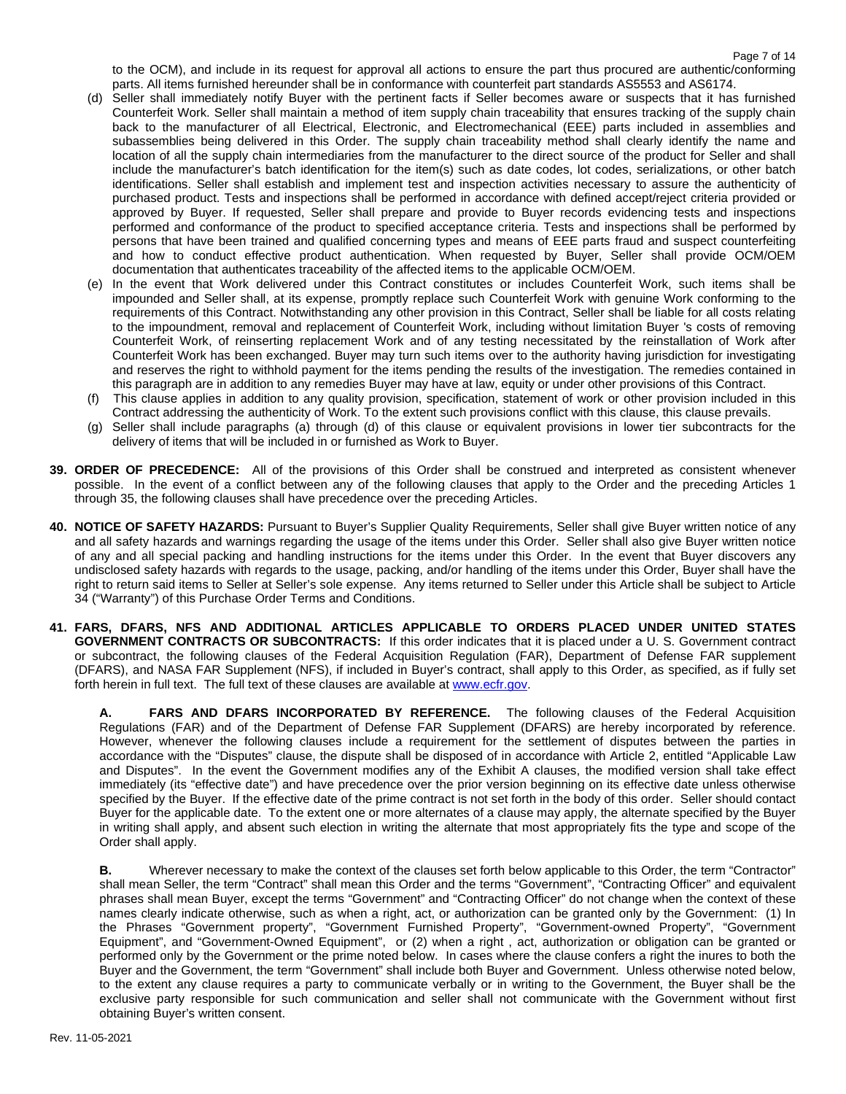to the OCM), and include in its request for approval all actions to ensure the part thus procured are authentic/conforming parts. All items furnished hereunder shall be in conformance with counterfeit part standards AS5553 and AS6174.

- (d) Seller shall immediately notify Buyer with the pertinent facts if Seller becomes aware or suspects that it has furnished Counterfeit Work. Seller shall maintain a method of item supply chain traceability that ensures tracking of the supply chain back to the manufacturer of all Electrical, Electronic, and Electromechanical (EEE) parts included in assemblies and subassemblies being delivered in this Order. The supply chain traceability method shall clearly identify the name and location of all the supply chain intermediaries from the manufacturer to the direct source of the product for Seller and shall include the manufacturer's batch identification for the item(s) such as date codes, lot codes, serializations, or other batch identifications. Seller shall establish and implement test and inspection activities necessary to assure the authenticity of purchased product. Tests and inspections shall be performed in accordance with defined accept/reject criteria provided or approved by Buyer. If requested, Seller shall prepare and provide to Buyer records evidencing tests and inspections performed and conformance of the product to specified acceptance criteria. Tests and inspections shall be performed by persons that have been trained and qualified concerning types and means of EEE parts fraud and suspect counterfeiting and how to conduct effective product authentication. When requested by Buyer, Seller shall provide OCM/OEM documentation that authenticates traceability of the affected items to the applicable OCM/OEM.
- (e) In the event that Work delivered under this Contract constitutes or includes Counterfeit Work, such items shall be impounded and Seller shall, at its expense, promptly replace such Counterfeit Work with genuine Work conforming to the requirements of this Contract. Notwithstanding any other provision in this Contract, Seller shall be liable for all costs relating to the impoundment, removal and replacement of Counterfeit Work, including without limitation Buyer 's costs of removing Counterfeit Work, of reinserting replacement Work and of any testing necessitated by the reinstallation of Work after Counterfeit Work has been exchanged. Buyer may turn such items over to the authority having jurisdiction for investigating and reserves the right to withhold payment for the items pending the results of the investigation. The remedies contained in this paragraph are in addition to any remedies Buyer may have at law, equity or under other provisions of this Contract.
- (f) This clause applies in addition to any quality provision, specification, statement of work or other provision included in this Contract addressing the authenticity of Work. To the extent such provisions conflict with this clause, this clause prevails.
- (g) Seller shall include paragraphs (a) through (d) of this clause or equivalent provisions in lower tier subcontracts for the delivery of items that will be included in or furnished as Work to Buyer.
- **39. ORDER OF PRECEDENCE:** All of the provisions of this Order shall be construed and interpreted as consistent whenever possible. In the event of a conflict between any of the following clauses that apply to the Order and the preceding Articles 1 through 35, the following clauses shall have precedence over the preceding Articles.
- **40. NOTICE OF SAFETY HAZARDS:** Pursuant to Buyer's Supplier Quality Requirements, Seller shall give Buyer written notice of any and all safety hazards and warnings regarding the usage of the items under this Order. Seller shall also give Buyer written notice of any and all special packing and handling instructions for the items under this Order. In the event that Buyer discovers any undisclosed safety hazards with regards to the usage, packing, and/or handling of the items under this Order, Buyer shall have the right to return said items to Seller at Seller's sole expense. Any items returned to Seller under this Article shall be subject to Article 34 ("Warranty") of this Purchase Order Terms and Conditions.
- **41. FARS, DFARS, NFS AND ADDITIONAL ARTICLES APPLICABLE TO ORDERS PLACED UNDER UNITED STATES GOVERNMENT CONTRACTS OR SUBCONTRACTS:** If this order indicates that it is placed under a U. S. Government contract or subcontract, the following clauses of the Federal Acquisition Regulation (FAR), Department of Defense FAR supplement (DFARS), and NASA FAR Supplement (NFS), if included in Buyer's contract, shall apply to this Order, as specified, as if fully set forth herein in full text. The full text of these clauses are available a[t www.ecfr.gov.](http://www.ecfr.gov/)

**A. FARS AND DFARS INCORPORATED BY REFERENCE.** The following clauses of the Federal Acquisition Regulations (FAR) and of the Department of Defense FAR Supplement (DFARS) are hereby incorporated by reference. However, whenever the following clauses include a requirement for the settlement of disputes between the parties in accordance with the "Disputes" clause, the dispute shall be disposed of in accordance with Article 2, entitled "Applicable Law and Disputes". In the event the Government modifies any of the Exhibit A clauses, the modified version shall take effect immediately (its "effective date") and have precedence over the prior version beginning on its effective date unless otherwise specified by the Buyer. If the effective date of the prime contract is not set forth in the body of this order. Seller should contact Buyer for the applicable date. To the extent one or more alternates of a clause may apply, the alternate specified by the Buyer in writing shall apply, and absent such election in writing the alternate that most appropriately fits the type and scope of the Order shall apply.

**B.** Wherever necessary to make the context of the clauses set forth below applicable to this Order, the term "Contractor" shall mean Seller, the term "Contract" shall mean this Order and the terms "Government", "Contracting Officer" and equivalent phrases shall mean Buyer, except the terms "Government" and "Contracting Officer" do not change when the context of these names clearly indicate otherwise, such as when a right, act, or authorization can be granted only by the Government: (1) In the Phrases "Government property", "Government Furnished Property", "Government-owned Property", "Government Equipment", and "Government-Owned Equipment", or (2) when a right , act, authorization or obligation can be granted or performed only by the Government or the prime noted below. In cases where the clause confers a right the inures to both the Buyer and the Government, the term "Government" shall include both Buyer and Government. Unless otherwise noted below, to the extent any clause requires a party to communicate verbally or in writing to the Government, the Buyer shall be the exclusive party responsible for such communication and seller shall not communicate with the Government without first obtaining Buyer's written consent.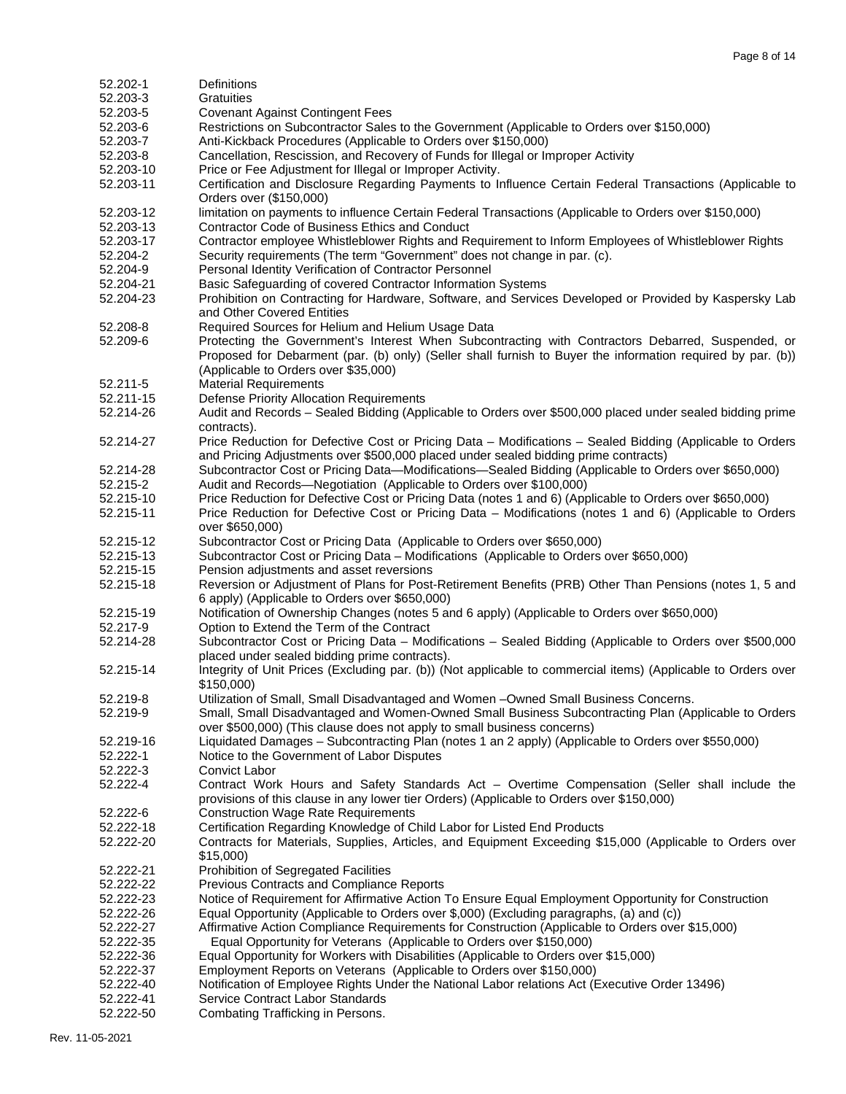| 52.202-1               | Definitions                                                                                                                                                                                |
|------------------------|--------------------------------------------------------------------------------------------------------------------------------------------------------------------------------------------|
| 52.203-3               | Gratuities                                                                                                                                                                                 |
| 52.203-5               | <b>Covenant Against Contingent Fees</b>                                                                                                                                                    |
| 52.203-6               | Restrictions on Subcontractor Sales to the Government (Applicable to Orders over \$150,000)                                                                                                |
| 52.203-7               | Anti-Kickback Procedures (Applicable to Orders over \$150,000)                                                                                                                             |
| 52.203-8               | Cancellation, Rescission, and Recovery of Funds for Illegal or Improper Activity                                                                                                           |
| 52.203-10              | Price or Fee Adjustment for Illegal or Improper Activity.                                                                                                                                  |
| 52.203-11              | Certification and Disclosure Regarding Payments to Influence Certain Federal Transactions (Applicable to<br>Orders over (\$150,000)                                                        |
| 52.203-12<br>52.203-13 | limitation on payments to influence Certain Federal Transactions (Applicable to Orders over \$150,000)<br><b>Contractor Code of Business Ethics and Conduct</b>                            |
| 52.203-17              | Contractor employee Whistleblower Rights and Requirement to Inform Employees of Whistleblower Rights                                                                                       |
| 52.204-2               | Security requirements (The term "Government" does not change in par. (c).                                                                                                                  |
| 52.204-9               | Personal Identity Verification of Contractor Personnel                                                                                                                                     |
| 52.204-21              | Basic Safeguarding of covered Contractor Information Systems                                                                                                                               |
| 52.204-23              | Prohibition on Contracting for Hardware, Software, and Services Developed or Provided by Kaspersky Lab                                                                                     |
|                        | and Other Covered Entities                                                                                                                                                                 |
| 52.208-8               | Required Sources for Helium and Helium Usage Data                                                                                                                                          |
| 52.209-6               | Protecting the Government's Interest When Subcontracting with Contractors Debarred, Suspended, or                                                                                          |
|                        | Proposed for Debarment (par. (b) only) (Seller shall furnish to Buyer the information required by par. (b))                                                                                |
|                        | (Applicable to Orders over \$35,000)                                                                                                                                                       |
| 52.211-5               | <b>Material Requirements</b>                                                                                                                                                               |
| 52.211-15              | Defense Priority Allocation Requirements                                                                                                                                                   |
| 52.214-26              | Audit and Records - Sealed Bidding (Applicable to Orders over \$500,000 placed under sealed bidding prime                                                                                  |
|                        | contracts).                                                                                                                                                                                |
| 52.214-27              | Price Reduction for Defective Cost or Pricing Data - Modifications - Sealed Bidding (Applicable to Orders                                                                                  |
|                        | and Pricing Adjustments over \$500,000 placed under sealed bidding prime contracts)                                                                                                        |
| 52.214-28              | Subcontractor Cost or Pricing Data-Modifications-Sealed Bidding (Applicable to Orders over \$650,000)                                                                                      |
| 52.215-2               | Audit and Records-Negotiation (Applicable to Orders over \$100,000)                                                                                                                        |
| 52.215-10              | Price Reduction for Defective Cost or Pricing Data (notes 1 and 6) (Applicable to Orders over \$650,000)                                                                                   |
| 52.215-11              | Price Reduction for Defective Cost or Pricing Data - Modifications (notes 1 and 6) (Applicable to Orders                                                                                   |
|                        | over \$650,000)                                                                                                                                                                            |
| 52.215-12              | Subcontractor Cost or Pricing Data (Applicable to Orders over \$650,000)                                                                                                                   |
| 52.215-13              | Subcontractor Cost or Pricing Data - Modifications (Applicable to Orders over \$650,000)                                                                                                   |
| 52.215-15              | Pension adjustments and asset reversions                                                                                                                                                   |
| 52.215-18              | Reversion or Adjustment of Plans for Post-Retirement Benefits (PRB) Other Than Pensions (notes 1, 5 and                                                                                    |
|                        | 6 apply) (Applicable to Orders over \$650,000)                                                                                                                                             |
| 52.215-19              | Notification of Ownership Changes (notes 5 and 6 apply) (Applicable to Orders over \$650,000)                                                                                              |
| 52.217-9               | Option to Extend the Term of the Contract                                                                                                                                                  |
| 52.214-28              | Subcontractor Cost or Pricing Data - Modifications - Sealed Bidding (Applicable to Orders over \$500,000                                                                                   |
|                        | placed under sealed bidding prime contracts).                                                                                                                                              |
| 52.215-14              | Integrity of Unit Prices (Excluding par. (b)) (Not applicable to commercial items) (Applicable to Orders over                                                                              |
|                        | \$150,000)                                                                                                                                                                                 |
| 52.219-8<br>52.219-9   | Utilization of Small, Small Disadvantaged and Women -Owned Small Business Concerns.<br>Small, Small Disadvantaged and Women-Owned Small Business Subcontracting Plan (Applicable to Orders |
|                        | over \$500,000) (This clause does not apply to small business concerns)                                                                                                                    |
| 52.219-16              | Liquidated Damages - Subcontracting Plan (notes 1 an 2 apply) (Applicable to Orders over \$550,000)                                                                                        |
| 52.222-1               | Notice to the Government of Labor Disputes                                                                                                                                                 |
| 52.222-3               | Convict Labor                                                                                                                                                                              |
| 52.222-4               | Contract Work Hours and Safety Standards Act - Overtime Compensation (Seller shall include the                                                                                             |
|                        | provisions of this clause in any lower tier Orders) (Applicable to Orders over \$150,000)                                                                                                  |
| 52.222-6               | <b>Construction Wage Rate Requirements</b>                                                                                                                                                 |
| 52.222-18              | Certification Regarding Knowledge of Child Labor for Listed End Products                                                                                                                   |
| 52.222-20              | Contracts for Materials, Supplies, Articles, and Equipment Exceeding \$15,000 (Applicable to Orders over                                                                                   |
|                        | \$15,000                                                                                                                                                                                   |
| 52.222-21              | Prohibition of Segregated Facilities                                                                                                                                                       |
| 52.222-22              | <b>Previous Contracts and Compliance Reports</b>                                                                                                                                           |
| 52.222-23              | Notice of Requirement for Affirmative Action To Ensure Equal Employment Opportunity for Construction                                                                                       |
| 52.222-26              | Equal Opportunity (Applicable to Orders over \$,000) (Excluding paragraphs, (a) and (c))                                                                                                   |
| 52.222-27              | Affirmative Action Compliance Requirements for Construction (Applicable to Orders over \$15,000)                                                                                           |
| 52.222-35              | Equal Opportunity for Veterans (Applicable to Orders over \$150,000)                                                                                                                       |
| 52.222-36              | Equal Opportunity for Workers with Disabilities (Applicable to Orders over \$15,000)                                                                                                       |
| 52.222-37              | Employment Reports on Veterans (Applicable to Orders over \$150,000)                                                                                                                       |
| 52.222-40              | Notification of Employee Rights Under the National Labor relations Act (Executive Order 13496)                                                                                             |
| 52.222-41              | Service Contract Labor Standards                                                                                                                                                           |

52.222-50 [Combating Trafficking in Persons.](http://farsite.hill.af.mil/reghtml/regs/far2afmcfars/fardfars/far/52_220.htm#P778_139704#P778_139704)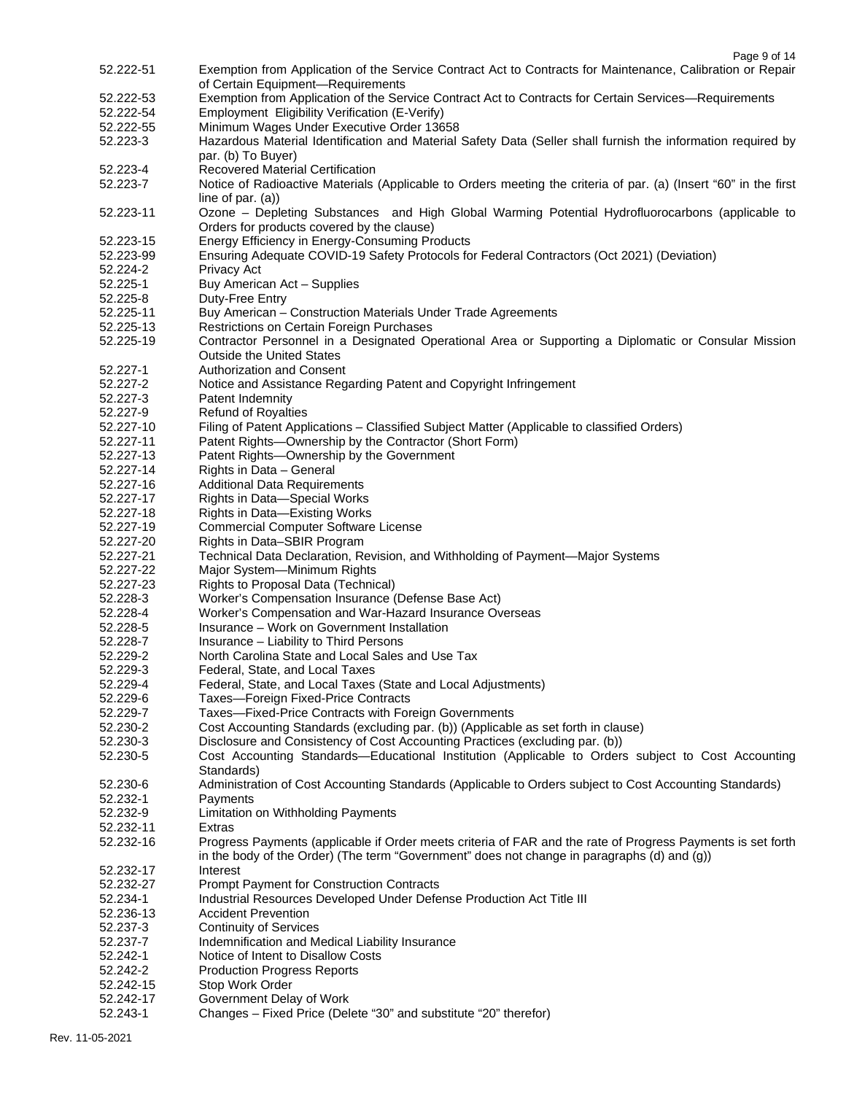| 52.222-51 | Exemption from Application of the Service Contract Act to Contracts for Maintenance, Calibration or Repair       |
|-----------|------------------------------------------------------------------------------------------------------------------|
|           | of Certain Equipment-Requirements                                                                                |
| 52.222-53 | Exemption from Application of the Service Contract Act to Contracts for Certain Services-Requirements            |
| 52.222-54 | Employment Eligibility Verification (E-Verify)                                                                   |
| 52.222-55 | Minimum Wages Under Executive Order 13658                                                                        |
| 52.223-3  | Hazardous Material Identification and Material Safety Data (Seller shall furnish the information required by     |
|           | par. (b) To Buyer)                                                                                               |
| 52.223-4  |                                                                                                                  |
|           | Recovered Material Certification                                                                                 |
| 52.223-7  | Notice of Radioactive Materials (Applicable to Orders meeting the criteria of par. (a) (Insert "60" in the first |
|           | line of par. $(a)$ )                                                                                             |
| 52.223-11 | Ozone - Depleting Substances and High Global Warming Potential Hydrofluorocarbons (applicable to                 |
|           | Orders for products covered by the clause)                                                                       |
| 52.223-15 | Energy Efficiency in Energy-Consuming Products                                                                   |
| 52.223-99 | Ensuring Adequate COVID-19 Safety Protocols for Federal Contractors (Oct 2021) (Deviation)                       |
| 52.224-2  | Privacy Act                                                                                                      |
| 52.225-1  | Buy American Act - Supplies                                                                                      |
| 52.225-8  | Duty-Free Entry                                                                                                  |
| 52.225-11 | Buy American - Construction Materials Under Trade Agreements                                                     |
|           |                                                                                                                  |
| 52.225-13 | Restrictions on Certain Foreign Purchases                                                                        |
| 52.225-19 | Contractor Personnel in a Designated Operational Area or Supporting a Diplomatic or Consular Mission             |
|           | <b>Outside the United States</b>                                                                                 |
| 52.227-1  | <b>Authorization and Consent</b>                                                                                 |
| 52.227-2  | Notice and Assistance Regarding Patent and Copyright Infringement                                                |
| 52.227-3  | Patent Indemnity                                                                                                 |
| 52.227-9  | <b>Refund of Royalties</b>                                                                                       |
| 52.227-10 | Filing of Patent Applications - Classified Subject Matter (Applicable to classified Orders)                      |
| 52.227-11 | Patent Rights-Ownership by the Contractor (Short Form)                                                           |
| 52.227-13 | Patent Rights-Ownership by the Government                                                                        |
| 52.227-14 | Rights in Data - General                                                                                         |
| 52.227-16 |                                                                                                                  |
|           | <b>Additional Data Requirements</b>                                                                              |
| 52.227-17 | Rights in Data-Special Works                                                                                     |
| 52.227-18 | Rights in Data-Existing Works                                                                                    |
| 52.227-19 | <b>Commercial Computer Software License</b>                                                                      |
|           |                                                                                                                  |
| 52.227-20 | Rights in Data-SBIR Program                                                                                      |
| 52.227-21 | Technical Data Declaration, Revision, and Withholding of Payment-Major Systems                                   |
| 52.227-22 | Major System-Minimum Rights                                                                                      |
| 52.227-23 | Rights to Proposal Data (Technical)                                                                              |
| 52.228-3  |                                                                                                                  |
|           | Worker's Compensation Insurance (Defense Base Act)                                                               |
| 52.228-4  | Worker's Compensation and War-Hazard Insurance Overseas                                                          |
| 52.228-5  | Insurance – Work on Government Installation                                                                      |
| 52.228-7  | Insurance - Liability to Third Persons                                                                           |
| 52.229-2  | North Carolina State and Local Sales and Use Tax                                                                 |
| 52.229-3  | Federal, State, and Local Taxes                                                                                  |
| 52.229-4  | Federal, State, and Local Taxes (State and Local Adjustments)                                                    |
| 52.229-6  | Taxes-Foreign Fixed-Price Contracts                                                                              |
| 52.229-7  | Taxes-Fixed-Price Contracts with Foreign Governments                                                             |
| 52.230-2  | Cost Accounting Standards (excluding par. (b)) (Applicable as set forth in clause)                               |
| 52.230-3  | Disclosure and Consistency of Cost Accounting Practices (excluding par. (b))                                     |
| 52.230-5  | Cost Accounting Standards-Educational Institution (Applicable to Orders subject to Cost Accounting               |
|           | Standards)                                                                                                       |
| 52.230-6  | Administration of Cost Accounting Standards (Applicable to Orders subject to Cost Accounting Standards)          |
| 52.232-1  | Payments                                                                                                         |
| 52.232-9  |                                                                                                                  |
|           | Limitation on Withholding Payments<br>Extras                                                                     |
| 52.232-11 |                                                                                                                  |
| 52.232-16 | Progress Payments (applicable if Order meets criteria of FAR and the rate of Progress Payments is set forth      |
|           | in the body of the Order) (The term "Government" does not change in paragraphs (d) and (g))                      |
| 52.232-17 | Interest                                                                                                         |
| 52.232-27 | Prompt Payment for Construction Contracts                                                                        |
| 52.234-1  | Industrial Resources Developed Under Defense Production Act Title III                                            |
| 52.236-13 | <b>Accident Prevention</b>                                                                                       |
| 52.237-3  | <b>Continuity of Services</b>                                                                                    |
| 52.237-7  | Indemnification and Medical Liability Insurance                                                                  |
| 52.242-1  | Notice of Intent to Disallow Costs                                                                               |
| 52.242-2  | <b>Production Progress Reports</b>                                                                               |
| 52.242-15 | Stop Work Order                                                                                                  |
| 52.242-17 | Government Delay of Work                                                                                         |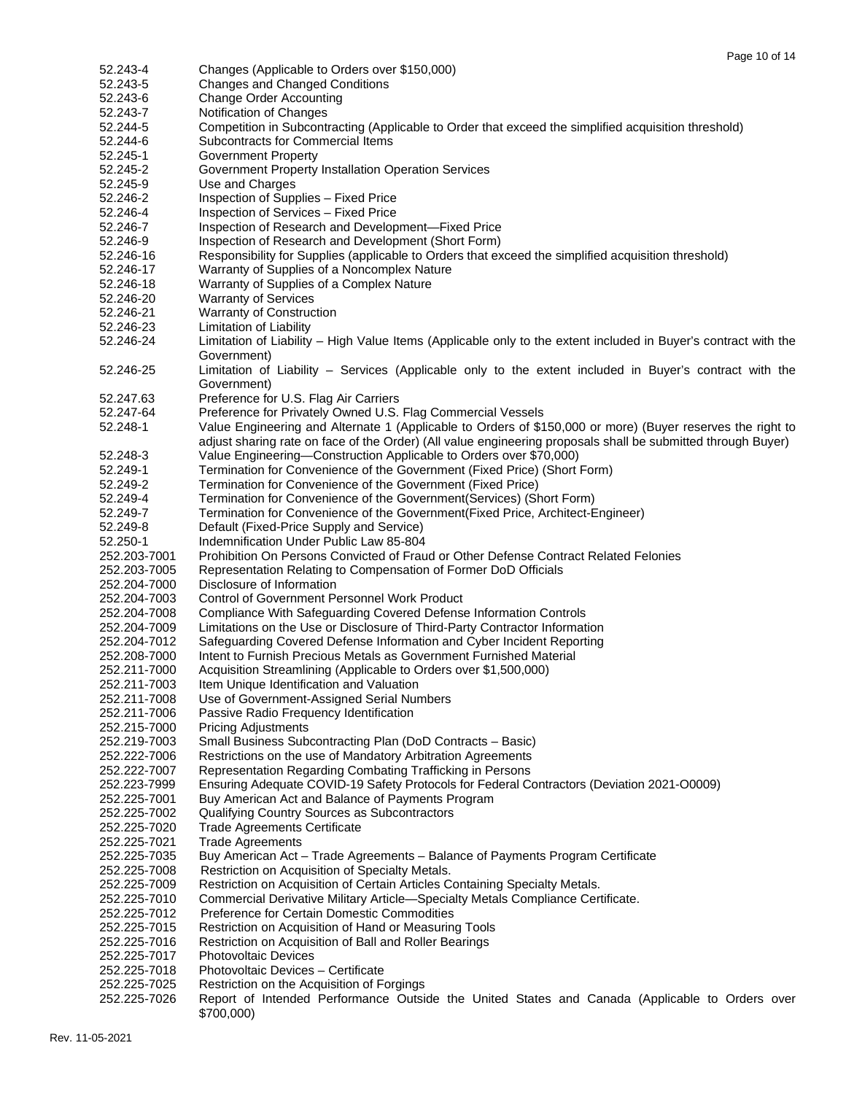| 52.243-4                     | Changes (Applicable to Orders over \$150,000)                                                                                                |
|------------------------------|----------------------------------------------------------------------------------------------------------------------------------------------|
| 52.243-5                     | <b>Changes and Changed Conditions</b>                                                                                                        |
| 52.243-6                     | <b>Change Order Accounting</b>                                                                                                               |
| 52.243-7                     | Notification of Changes                                                                                                                      |
| 52.244-5                     | Competition in Subcontracting (Applicable to Order that exceed the simplified acquisition threshold)                                         |
| 52.244-6                     | Subcontracts for Commercial Items                                                                                                            |
| 52.245-1                     | <b>Government Property</b>                                                                                                                   |
| 52.245-2                     | Government Property Installation Operation Services                                                                                          |
| 52.245-9                     | Use and Charges                                                                                                                              |
| 52.246-2                     | Inspection of Supplies - Fixed Price                                                                                                         |
| 52.246-4                     | Inspection of Services - Fixed Price                                                                                                         |
| 52.246-7                     | Inspection of Research and Development-Fixed Price                                                                                           |
| 52.246-9                     | Inspection of Research and Development (Short Form)                                                                                          |
| 52.246-16                    | Responsibility for Supplies (applicable to Orders that exceed the simplified acquisition threshold)                                          |
| 52.246-17                    | Warranty of Supplies of a Noncomplex Nature                                                                                                  |
| 52.246-18                    | Warranty of Supplies of a Complex Nature                                                                                                     |
| 52.246-20                    | <b>Warranty of Services</b>                                                                                                                  |
| 52.246-21                    | Warranty of Construction                                                                                                                     |
| 52.246-23                    | Limitation of Liability                                                                                                                      |
| 52.246-24                    | Limitation of Liability - High Value Items (Applicable only to the extent included in Buyer's contract with the                              |
|                              |                                                                                                                                              |
|                              | Government)                                                                                                                                  |
| 52.246-25                    | Limitation of Liability – Services (Applicable only to the extent included in Buyer's contract with the                                      |
|                              | Government)                                                                                                                                  |
| 52.247.63                    | Preference for U.S. Flag Air Carriers                                                                                                        |
| 52.247-64                    | Preference for Privately Owned U.S. Flag Commercial Vessels                                                                                  |
| 52.248-1                     | Value Engineering and Alternate 1 (Applicable to Orders of \$150,000 or more) (Buyer reserves the right to                                   |
|                              | adjust sharing rate on face of the Order) (All value engineering proposals shall be submitted through Buyer)                                 |
| 52.248-3                     | Value Engineering-Construction Applicable to Orders over \$70,000)                                                                           |
| 52.249-1                     | Termination for Convenience of the Government (Fixed Price) (Short Form)                                                                     |
| 52.249-2                     | Termination for Convenience of the Government (Fixed Price)                                                                                  |
| 52.249-4                     | Termination for Convenience of the Government(Services) (Short Form)                                                                         |
| 52.249-7                     | Termination for Convenience of the Government (Fixed Price, Architect-Engineer)                                                              |
| 52.249-8                     | Default (Fixed-Price Supply and Service)                                                                                                     |
| 52.250-1                     | Indemnification Under Public Law 85-804                                                                                                      |
| 252.203-7001                 | Prohibition On Persons Convicted of Fraud or Other Defense Contract Related Felonies                                                         |
| 252.203-7005                 | Representation Relating to Compensation of Former DoD Officials                                                                              |
| 252.204-7000                 | Disclosure of Information                                                                                                                    |
| 252.204-7003                 | <b>Control of Government Personnel Work Product</b>                                                                                          |
| 252.204-7008                 | Compliance With Safeguarding Covered Defense Information Controls                                                                            |
| 252.204-7009                 | Limitations on the Use or Disclosure of Third-Party Contractor Information                                                                   |
| 252.204-7012                 | Safeguarding Covered Defense Information and Cyber Incident Reporting                                                                        |
| 252.208-7000                 | Intent to Furnish Precious Metals as Government Furnished Material                                                                           |
| 252.211-7000                 | Acquisition Streamlining (Applicable to Orders over \$1,500,000)                                                                             |
| 252.211-7003                 | Item Unique Identification and Valuation                                                                                                     |
| 252.211-7008                 | Use of Government-Assigned Serial Numbers                                                                                                    |
| 252.211-7006                 | Passive Radio Frequency Identification                                                                                                       |
| 252.215-7000                 | <b>Pricing Adjustments</b>                                                                                                                   |
| 252.219-7003                 | Small Business Subcontracting Plan (DoD Contracts - Basic)                                                                                   |
| 252.222-7006                 | Restrictions on the use of Mandatory Arbitration Agreements                                                                                  |
| 252.222-7007                 | Representation Regarding Combating Trafficking in Persons                                                                                    |
| 252.223-7999                 | Ensuring Adequate COVID-19 Safety Protocols for Federal Contractors (Deviation 2021-O0009)                                                   |
| 252.225-7001                 | Buy American Act and Balance of Payments Program                                                                                             |
| 252.225-7002                 | Qualifying Country Sources as Subcontractors                                                                                                 |
| 252.225-7020                 | <b>Trade Agreements Certificate</b>                                                                                                          |
| 252.225-7021                 | <b>Trade Agreements</b>                                                                                                                      |
| 252.225-7035                 | Buy American Act - Trade Agreements - Balance of Payments Program Certificate                                                                |
| 252.225-7008                 | Restriction on Acquisition of Specialty Metals.                                                                                              |
| 252.225-7009                 | Restriction on Acquisition of Certain Articles Containing Specialty Metals.                                                                  |
| 252.225-7010                 | Commercial Derivative Military Article-Specialty Metals Compliance Certificate.                                                              |
| 252.225-7012                 | <b>Preference for Certain Domestic Commodities</b>                                                                                           |
|                              |                                                                                                                                              |
| 252.225-7015                 | Restriction on Acquisition of Hand or Measuring Tools                                                                                        |
| 252.225-7016                 | Restriction on Acquisition of Ball and Roller Bearings<br><b>Photovoltaic Devices</b>                                                        |
| 252.225-7017                 |                                                                                                                                              |
| 252.225-7018                 | Photovoltaic Devices - Certificate                                                                                                           |
| 252.225-7025<br>252.225-7026 | Restriction on the Acquisition of Forgings<br>Report of Intended Performance Outside the United States and Canada (Applicable to Orders over |
|                              | \$700,000)                                                                                                                                   |
|                              |                                                                                                                                              |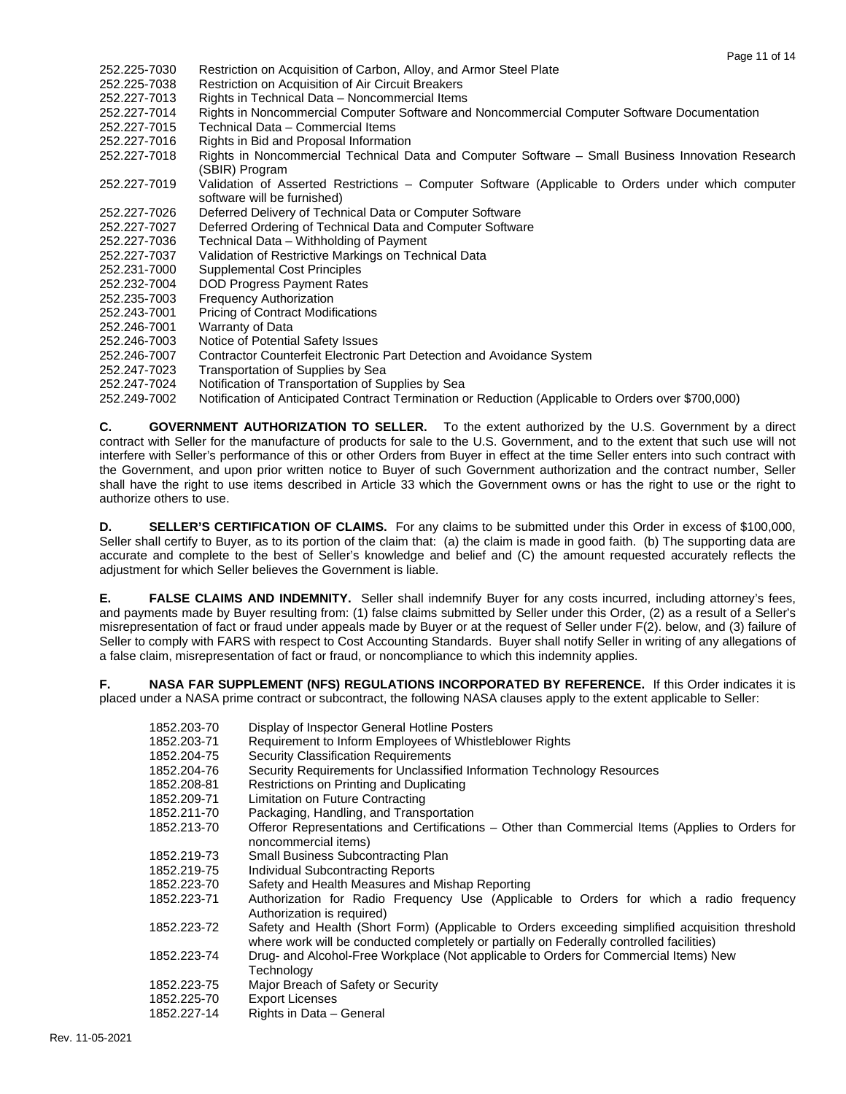- 252.225-7030 Restriction on Acquisition of Carbon, Alloy, and Armor Steel Plate
- 252.225-7038 Restriction on Acquisition of Air Circuit Breakers
- Rights in Technical Data Noncommercial Items
- 252.227-7014 Rights in Noncommercial Computer Software and Noncommercial Computer Software Documentation
- 252.227-7015 Technical Data Commercial Items
- 252.227-7016 Rights in Bid and Proposal Information
- Rights in Noncommercial Technical Data and Computer Software Small Business Innovation Research (SBIR) Program
- 252.227-7019 Validation of Asserted Restrictions Computer Software (Applicable to Orders under which computer software will be furnished)
- 252.227-7026 Deferred Delivery of Technical Data or Computer Software
- 252.227-7027 Deferred Ordering of Technical Data and Computer Software<br>252.227-7036 Technical Data Withholding of Payment
- Technical Data Withholding of Payment
- 252.227-7037 Validation of Restrictive Markings on Technical Data
- 252.231-7000 Supplemental Cost Principles
- 252.232-7004 DOD Progress Payment Rates
- 252.235-7003 Frequency Authorization
- 252.243-7001 Pricing of Contract Modifications
- 252.246-7001 Warranty of Data
- 252.246-7003 Notice of Potential Safety Issues
- 252.246-7007 Contractor Counterfeit Electronic Part Detection and Avoidance System
- 252.247-7023 Transportation of Supplies by Sea
- Notification of Transportation of Supplies by Sea
- 252.249-7002 Notification of Anticipated Contract Termination or Reduction (Applicable to Orders over \$700,000)

**C. GOVERNMENT AUTHORIZATION TO SELLER.** To the extent authorized by the U.S. Government by a direct contract with Seller for the manufacture of products for sale to the U.S. Government, and to the extent that such use will not interfere with Seller's performance of this or other Orders from Buyer in effect at the time Seller enters into such contract with the Government, and upon prior written notice to Buyer of such Government authorization and the contract number, Seller shall have the right to use items described in Article 33 which the Government owns or has the right to use or the right to authorize others to use.

**D. SELLER'S CERTIFICATION OF CLAIMS.** For any claims to be submitted under this Order in excess of \$100,000, Seller shall certify to Buyer, as to its portion of the claim that: (a) the claim is made in good faith. (b) The supporting data are accurate and complete to the best of Seller's knowledge and belief and (C) the amount requested accurately reflects the adjustment for which Seller believes the Government is liable.

**E. FALSE CLAIMS AND INDEMNITY.** Seller shall indemnify Buyer for any costs incurred, including attorney's fees, and payments made by Buyer resulting from: (1) false claims submitted by Seller under this Order, (2) as a result of a Seller's misrepresentation of fact or fraud under appeals made by Buyer or at the request of Seller under F(2). below, and (3) failure of Seller to comply with FARS with respect to Cost Accounting Standards. Buyer shall notify Seller in writing of any allegations of a false claim, misrepresentation of fact or fraud, or noncompliance to which this indemnity applies.

**F. NASA FAR SUPPLEMENT (NFS) REGULATIONS INCORPORATED BY REFERENCE.** If this Order indicates it is placed under a NASA prime contract or subcontract, the following NASA clauses apply to the extent applicable to Seller:

| 1852.203-70 | Display of Inspector General Hotline Posters                                                                                                                                                |
|-------------|---------------------------------------------------------------------------------------------------------------------------------------------------------------------------------------------|
| 1852.203-71 | Requirement to Inform Employees of Whistleblower Rights                                                                                                                                     |
| 1852.204-75 | <b>Security Classification Requirements</b>                                                                                                                                                 |
| 1852.204-76 | Security Requirements for Unclassified Information Technology Resources                                                                                                                     |
| 1852.208-81 | Restrictions on Printing and Duplicating                                                                                                                                                    |
| 1852.209-71 | Limitation on Future Contracting                                                                                                                                                            |
| 1852.211-70 | Packaging, Handling, and Transportation                                                                                                                                                     |
| 1852.213-70 | Offeror Representations and Certifications – Other than Commercial Items (Applies to Orders for<br>noncommercial items)                                                                     |
| 1852.219-73 | Small Business Subcontracting Plan                                                                                                                                                          |
| 1852.219-75 | Individual Subcontracting Reports                                                                                                                                                           |
| 1852.223-70 | Safety and Health Measures and Mishap Reporting                                                                                                                                             |
| 1852.223-71 | Authorization for Radio Frequency Use (Applicable to Orders for which a radio frequency<br>Authorization is required)                                                                       |
| 1852.223-72 | Safety and Health (Short Form) (Applicable to Orders exceeding simplified acquisition threshold<br>where work will be conducted completely or partially on Federally controlled facilities) |
| 1852.223-74 | Drug- and Alcohol-Free Workplace (Not applicable to Orders for Commercial Items) New<br>Technology                                                                                          |
| 1852.223-75 | Major Breach of Safety or Security                                                                                                                                                          |
| 1852.225-70 | <b>Export Licenses</b>                                                                                                                                                                      |
| 1852.227-14 | Rights in Data - General                                                                                                                                                                    |
|             |                                                                                                                                                                                             |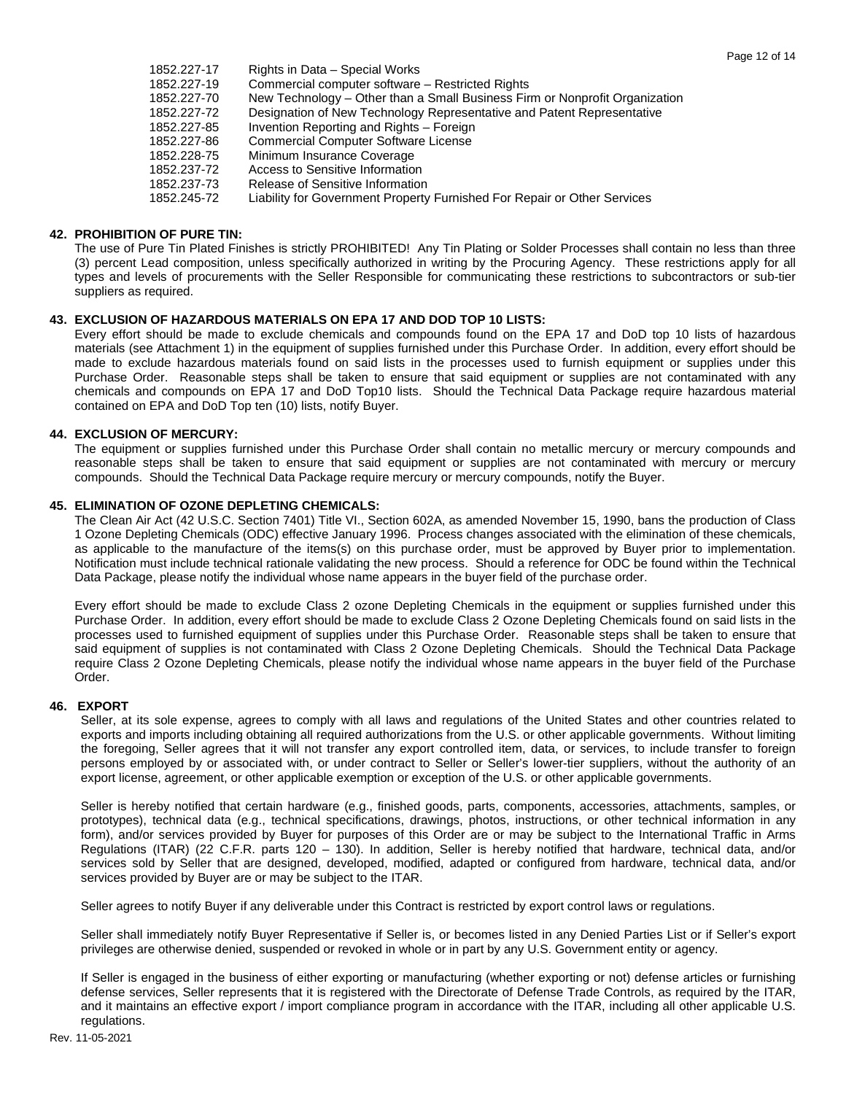| 1852.227-17 | Rights in Data - Special Works                                              |
|-------------|-----------------------------------------------------------------------------|
| 1852.227-19 | Commercial computer software - Restricted Rights                            |
| 1852.227-70 | New Technology – Other than a Small Business Firm or Nonprofit Organization |
| 1852.227-72 | Designation of New Technology Representative and Patent Representative      |
| 1852.227-85 | Invention Reporting and Rights - Foreign                                    |
| 1852.227-86 | <b>Commercial Computer Software License</b>                                 |
| 1852.228-75 | Minimum Insurance Coverage                                                  |
| 1852.237-72 | Access to Sensitive Information                                             |
| 1852.237-73 | Release of Sensitive Information                                            |
| 1852.245-72 | Liability for Government Property Furnished For Repair or Other Services    |

### **42. PROHIBITION OF PURE TIN:**

The use of Pure Tin Plated Finishes is strictly PROHIBITED! Any Tin Plating or Solder Processes shall contain no less than three (3) percent Lead composition, unless specifically authorized in writing by the Procuring Agency. These restrictions apply for all types and levels of procurements with the Seller Responsible for communicating these restrictions to subcontractors or sub-tier suppliers as required.

### **43. EXCLUSION OF HAZARDOUS MATERIALS ON EPA 17 AND DOD TOP 10 LISTS:**

Every effort should be made to exclude chemicals and compounds found on the EPA 17 and DoD top 10 lists of hazardous materials (see Attachment 1) in the equipment of supplies furnished under this Purchase Order. In addition, every effort should be made to exclude hazardous materials found on said lists in the processes used to furnish equipment or supplies under this Purchase Order. Reasonable steps shall be taken to ensure that said equipment or supplies are not contaminated with any chemicals and compounds on EPA 17 and DoD Top10 lists. Should the Technical Data Package require hazardous material contained on EPA and DoD Top ten (10) lists, notify Buyer.

### **44. EXCLUSION OF MERCURY:**

The equipment or supplies furnished under this Purchase Order shall contain no metallic mercury or mercury compounds and reasonable steps shall be taken to ensure that said equipment or supplies are not contaminated with mercury or mercury compounds. Should the Technical Data Package require mercury or mercury compounds, notify the Buyer.

### **45. ELIMINATION OF OZONE DEPLETING CHEMICALS:**

The Clean Air Act (42 U.S.C. Section 7401) Title VI., Section 602A, as amended November 15, 1990, bans the production of Class 1 Ozone Depleting Chemicals (ODC) effective January 1996. Process changes associated with the elimination of these chemicals, as applicable to the manufacture of the items(s) on this purchase order, must be approved by Buyer prior to implementation. Notification must include technical rationale validating the new process. Should a reference for ODC be found within the Technical Data Package, please notify the individual whose name appears in the buyer field of the purchase order.

Every effort should be made to exclude Class 2 ozone Depleting Chemicals in the equipment or supplies furnished under this Purchase Order. In addition, every effort should be made to exclude Class 2 Ozone Depleting Chemicals found on said lists in the processes used to furnished equipment of supplies under this Purchase Order. Reasonable steps shall be taken to ensure that said equipment of supplies is not contaminated with Class 2 Ozone Depleting Chemicals. Should the Technical Data Package require Class 2 Ozone Depleting Chemicals, please notify the individual whose name appears in the buyer field of the Purchase Order.

### **46. EXPORT**

Seller, at its sole expense, agrees to comply with all laws and regulations of the United States and other countries related to exports and imports including obtaining all required authorizations from the U.S. or other applicable governments. Without limiting the foregoing, Seller agrees that it will not transfer any export controlled item, data, or services, to include transfer to foreign persons employed by or associated with, or under contract to Seller or Seller's lower-tier suppliers, without the authority of an export license, agreement, or other applicable exemption or exception of the U.S. or other applicable governments.

Seller is hereby notified that certain hardware (e.g., finished goods, parts, components, accessories, attachments, samples, or prototypes), technical data (e.g., technical specifications, drawings, photos, instructions, or other technical information in any form), and/or services provided by Buyer for purposes of this Order are or may be subject to the International Traffic in Arms Regulations (ITAR) (22 C.F.R. parts 120 – 130). In addition, Seller is hereby notified that hardware, technical data, and/or services sold by Seller that are designed, developed, modified, adapted or configured from hardware, technical data, and/or services provided by Buyer are or may be subject to the ITAR.

Seller agrees to notify Buyer if any deliverable under this Contract is restricted by export control laws or regulations.

Seller shall immediately notify Buyer Representative if Seller is, or becomes listed in any Denied Parties List or if Seller's export privileges are otherwise denied, suspended or revoked in whole or in part by any U.S. Government entity or agency.

If Seller is engaged in the business of either exporting or manufacturing (whether exporting or not) defense articles or furnishing defense services, Seller represents that it is registered with the Directorate of Defense Trade Controls, as required by the ITAR, and it maintains an effective export / import compliance program in accordance with the ITAR, including all other applicable U.S. regulations.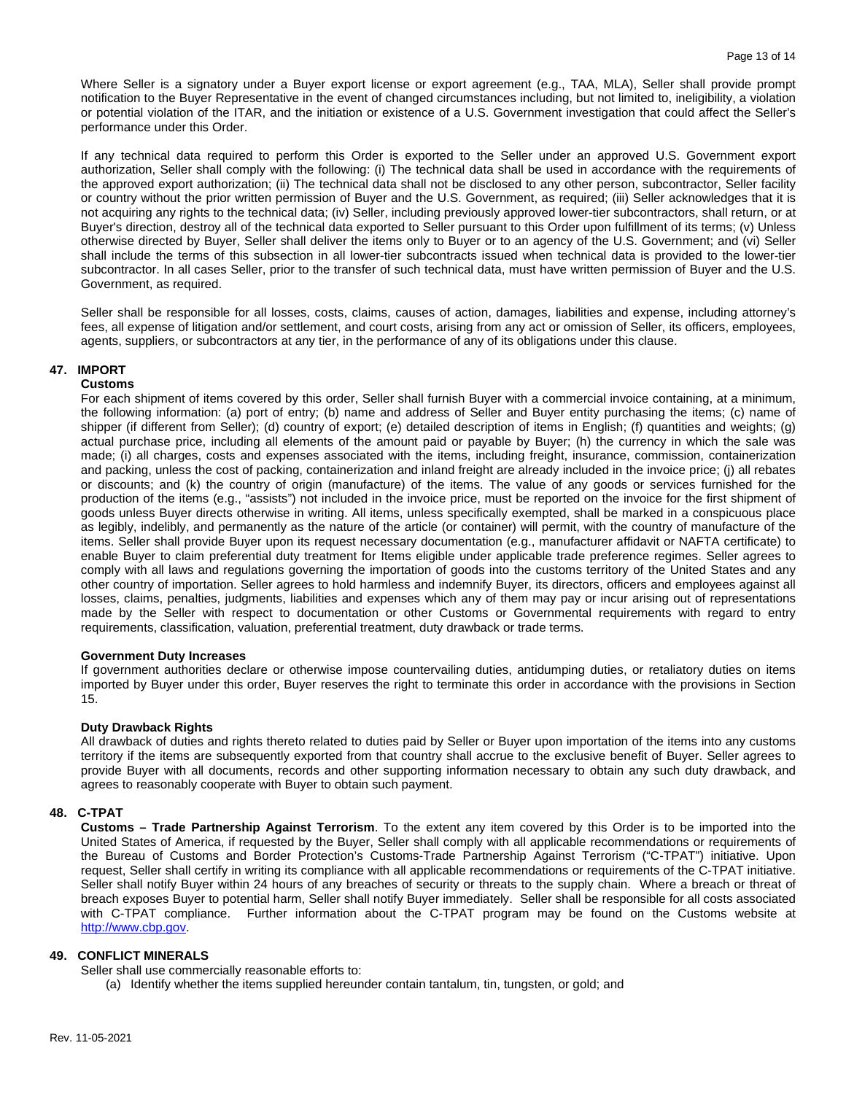Where Seller is a signatory under a Buyer export license or export agreement (e.g., TAA, MLA), Seller shall provide prompt notification to the Buyer Representative in the event of changed circumstances including, but not limited to, ineligibility, a violation or potential violation of the ITAR, and the initiation or existence of a U.S. Government investigation that could affect the Seller's performance under this Order.

If any technical data required to perform this Order is exported to the Seller under an approved U.S. Government export authorization, Seller shall comply with the following: (i) The technical data shall be used in accordance with the requirements of the approved export authorization; (ii) The technical data shall not be disclosed to any other person, subcontractor, Seller facility or country without the prior written permission of Buyer and the U.S. Government, as required; (iii) Seller acknowledges that it is not acquiring any rights to the technical data; (iv) Seller, including previously approved lower-tier subcontractors, shall return, or at Buyer's direction, destroy all of the technical data exported to Seller pursuant to this Order upon fulfillment of its terms; (v) Unless otherwise directed by Buyer, Seller shall deliver the items only to Buyer or to an agency of the U.S. Government; and (vi) Seller shall include the terms of this subsection in all lower-tier subcontracts issued when technical data is provided to the lower-tier subcontractor. In all cases Seller, prior to the transfer of such technical data, must have written permission of Buyer and the U.S. Government, as required.

Seller shall be responsible for all losses, costs, claims, causes of action, damages, liabilities and expense, including attorney's fees, all expense of litigation and/or settlement, and court costs, arising from any act or omission of Seller, its officers, employees, agents, suppliers, or subcontractors at any tier, in the performance of any of its obligations under this clause.

## **47. IMPORT**

#### **Customs**

For each shipment of items covered by this order, Seller shall furnish Buyer with a commercial invoice containing, at a minimum, the following information: (a) port of entry; (b) name and address of Seller and Buyer entity purchasing the items; (c) name of shipper (if different from Seller); (d) country of export; (e) detailed description of items in English; (f) quantities and weights; (g) actual purchase price, including all elements of the amount paid or payable by Buyer; (h) the currency in which the sale was made; (i) all charges, costs and expenses associated with the items, including freight, insurance, commission, containerization and packing, unless the cost of packing, containerization and inland freight are already included in the invoice price; (j) all rebates or discounts; and (k) the country of origin (manufacture) of the items. The value of any goods or services furnished for the production of the items (e.g., "assists") not included in the invoice price, must be reported on the invoice for the first shipment of goods unless Buyer directs otherwise in writing. All items, unless specifically exempted, shall be marked in a conspicuous place as legibly, indelibly, and permanently as the nature of the article (or container) will permit, with the country of manufacture of the items. Seller shall provide Buyer upon its request necessary documentation (e.g., manufacturer affidavit or NAFTA certificate) to enable Buyer to claim preferential duty treatment for Items eligible under applicable trade preference regimes. Seller agrees to comply with all laws and regulations governing the importation of goods into the customs territory of the United States and any other country of importation. Seller agrees to hold harmless and indemnify Buyer, its directors, officers and employees against all losses, claims, penalties, judgments, liabilities and expenses which any of them may pay or incur arising out of representations made by the Seller with respect to documentation or other Customs or Governmental requirements with regard to entry requirements, classification, valuation, preferential treatment, duty drawback or trade terms.

### **Government Duty Increases**

If government authorities declare or otherwise impose countervailing duties, antidumping duties, or retaliatory duties on items imported by Buyer under this order, Buyer reserves the right to terminate this order in accordance with the provisions in Section 15.

### **Duty Drawback Rights**

All drawback of duties and rights thereto related to duties paid by Seller or Buyer upon importation of the items into any customs territory if the items are subsequently exported from that country shall accrue to the exclusive benefit of Buyer. Seller agrees to provide Buyer with all documents, records and other supporting information necessary to obtain any such duty drawback, and agrees to reasonably cooperate with Buyer to obtain such payment.

### **48. C-TPAT**

**Customs – Trade Partnership Against Terrorism**. To the extent any item covered by this Order is to be imported into the United States of America, if requested by the Buyer, Seller shall comply with all applicable recommendations or requirements of the Bureau of Customs and Border Protection's Customs-Trade Partnership Against Terrorism ("C-TPAT") initiative. Upon request, Seller shall certify in writing its compliance with all applicable recommendations or requirements of the C-TPAT initiative. Seller shall notify Buyer within 24 hours of any breaches of security or threats to the supply chain. Where a breach or threat of breach exposes Buyer to potential harm, Seller shall notify Buyer immediately. Seller shall be responsible for all costs associated with C-TPAT compliance. Further information about the C-TPAT program may be found on the Customs website at [http://www.cbp.gov.](http://www.cbp.gov/)

# **49. CONFLICT MINERALS**

Seller shall use commercially reasonable efforts to:

(a) Identify whether the items supplied hereunder contain tantalum, tin, tungsten, or gold; and